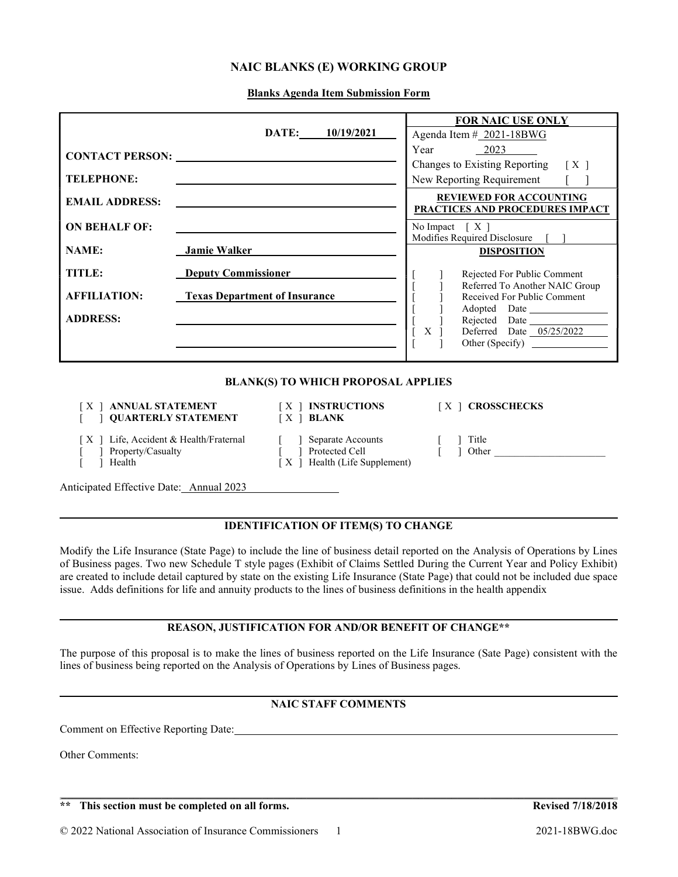## NAIC BLANKS (E) WORKING GROUP

Blanks Agenda Item Submission Form

|                                           |                                      |                                                                                                                                                                                                | <b>FOR NAIC USE ONLY</b>                                          |  |
|-------------------------------------------|--------------------------------------|------------------------------------------------------------------------------------------------------------------------------------------------------------------------------------------------|-------------------------------------------------------------------|--|
|                                           |                                      | DATE: 10/19/2021                                                                                                                                                                               | Agenda Item # 2021-18BWG                                          |  |
|                                           |                                      |                                                                                                                                                                                                | $Year$ 2023                                                       |  |
|                                           |                                      |                                                                                                                                                                                                | Changes to Existing Reporting<br>$\lceil$ X $\rceil$              |  |
| <b>TELEPHONE:</b>                         |                                      |                                                                                                                                                                                                | New Reporting Requirement                                         |  |
| <b>EMAIL ADDRESS:</b>                     |                                      |                                                                                                                                                                                                | <b>REVIEWED FOR ACCOUNTING</b><br>PRACTICES AND PROCEDURES IMPACT |  |
| <b>ON BEHALF OF:</b>                      |                                      |                                                                                                                                                                                                | No Impact $[X]$                                                   |  |
| <b>NAME:</b>                              |                                      |                                                                                                                                                                                                | Modifies Required Disclosure                                      |  |
|                                           |                                      | <b>Jamie Walker Marshall Marshall Marshall Marshall Marshall Marshall Marshall Marshall Marshall Marshall Marshall Marshall Marshall Marshall Marshall Marshall Marshall Marshall Marshall</b> | <b>DISPOSITION</b>                                                |  |
| TITLE:                                    |                                      | <b>Deputy Commissioner</b>                                                                                                                                                                     | Rejected For Public Comment                                       |  |
| <b>AFFILIATION:</b>                       |                                      |                                                                                                                                                                                                | Referred To Another NAIC Group                                    |  |
|                                           | <b>Texas Department of Insurance</b> |                                                                                                                                                                                                | Received For Public Comment<br>Adopted Date                       |  |
| <b>ADDRESS:</b>                           |                                      |                                                                                                                                                                                                | Rejected Date                                                     |  |
|                                           |                                      |                                                                                                                                                                                                | Deferred Date 05/25/2022<br>X <sub>1</sub>                        |  |
|                                           |                                      |                                                                                                                                                                                                |                                                                   |  |
| <b>BLANK(S) TO WHICH PROPOSAL APPLIES</b> |                                      |                                                                                                                                                                                                |                                                                   |  |
| $\mathbf{X}$                              | <b>QUARTERLY STATEMENT</b>           | ANNUAL STATEMENT   X   INSTRUCTIONS<br>$[X]$ BLANK                                                                                                                                             | [X ] CROSSCHECKS                                                  |  |
| X<br>Property/Casualty<br>Health          | Life, Accident & Health/Fraternal    | Separate Accounts<br>Protected Cell<br>[X ] Health (Life Supplement)                                                                                                                           | Title<br>Other                                                    |  |
| Anticipated Effective Date: Annual 2023   |                                      |                                                                                                                                                                                                |                                                                   |  |

## IDENTIFICATION OF ITEM(S) TO CHANGE

Modify the Life Insurance (State Page) to include the line of business detail reported on the Analysis of Operations by Lines of Business pages. Two new Schedule T style pages (Exhibit of Claims Settled During the Current Year and Policy Exhibit) are created to include detail captured by state on the existing Life Insurance (State Page) that could not be included due space issue. Adds definitions for life and annuity products to the lines of business definitions in the health appendix

## REASON, JUSTIFICATION FOR AND/OR BENEFIT OF CHANGE\*\*

The purpose of this proposal is to make the lines of business reported on the Life Insurance (Sate Page) consistent with the lines of business being reported on the Analysis of Operations by Lines of Business pages.

## NAIC STAFF COMMENTS

 $\mathcal{L}_\mathcal{L} = \mathcal{L}_\mathcal{L} = \mathcal{L}_\mathcal{L} = \mathcal{L}_\mathcal{L} = \mathcal{L}_\mathcal{L} = \mathcal{L}_\mathcal{L} = \mathcal{L}_\mathcal{L} = \mathcal{L}_\mathcal{L} = \mathcal{L}_\mathcal{L} = \mathcal{L}_\mathcal{L} = \mathcal{L}_\mathcal{L} = \mathcal{L}_\mathcal{L} = \mathcal{L}_\mathcal{L} = \mathcal{L}_\mathcal{L} = \mathcal{L}_\mathcal{L} = \mathcal{L}_\mathcal{L} = \mathcal{L}_\mathcal{L}$ 

Comment on Effective Reporting Date:

Other Comments:

l

l

l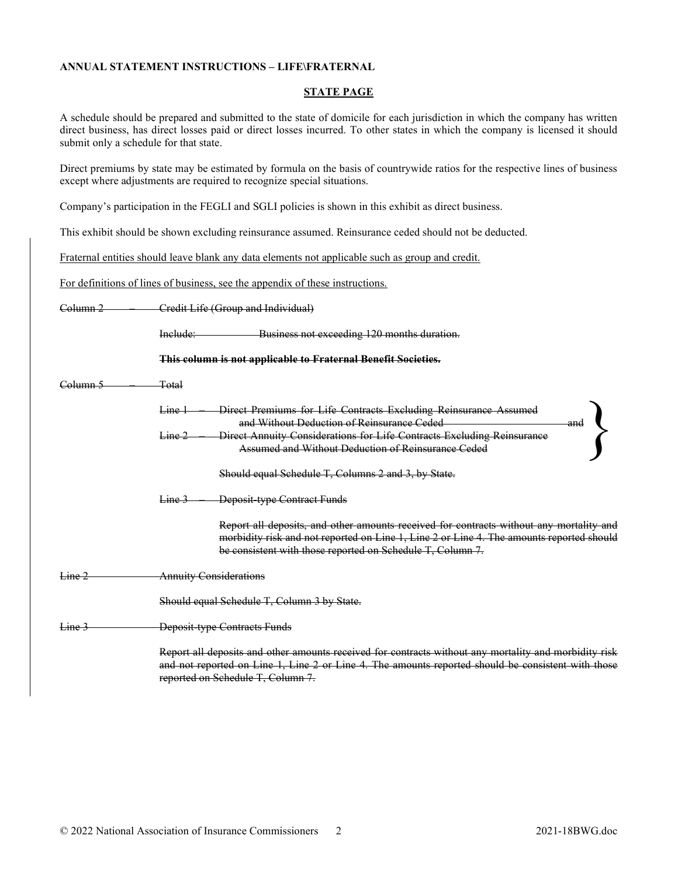#### ANNUAL STATEMENT INSTRUCTIONS – LIFE\FRATERNAL

#### STATE PAGE

A schedule should be prepared and submitted to the state of domicile for each jurisdiction in which the company has written direct business, has direct losses paid or direct losses incurred. To other states in which the company is licensed it should submit only a schedule for that state.

Direct premiums by state may be estimated by formula on the basis of countrywide ratios for the respective lines of business except where adjustments are required to recognize special situations.

Company's participation in the FEGLI and SGLI policies is shown in this exhibit as direct business.

This exhibit should be shown excluding reinsurance assumed. Reinsurance ceded should not be deducted.

Fraternal entities should leave blank any data elements not applicable such as group and credit.

For definitions of lines of business, see the appendix of these instructions.

| <del>Column 2</del> | Credit Life (Group and Individual)                                                                                                                                                                                                                |  |
|---------------------|---------------------------------------------------------------------------------------------------------------------------------------------------------------------------------------------------------------------------------------------------|--|
|                     | Business not exceeding 120 months duration.<br>Include:                                                                                                                                                                                           |  |
|                     | This column is not applicable to Fraternal Benefit Societies.                                                                                                                                                                                     |  |
| <del>Column 5</del> | Total                                                                                                                                                                                                                                             |  |
|                     | Direct Premiums for Life Contracts Excluding Reinsurance Assumed<br>Line 1<br>and Without Deduction of Reinsurance Ceded                                                                                                                          |  |
|                     | Direct Annuity Considerations for Life Contracts Excluding Reinsurance<br>Line 2<br>Assumed and Without Deduction of Reinsurance Ceded                                                                                                            |  |
|                     | Should equal Schedule T, Columns 2 and 3, by State.                                                                                                                                                                                               |  |
|                     | <b>Deposit-type Contract Funds</b><br>$\frac{1}{2}$ $\frac{1}{2}$                                                                                                                                                                                 |  |
|                     | Report all deposits, and other amounts received for contracts without any mortality and<br>morbidity risk and not reported on Line 1, Line 2 or Line 4. The amounts reported should<br>be consistent with those reported on Schedule T, Column 7. |  |
| <del>Line 2</del>   | <b>Annuity Considerations</b>                                                                                                                                                                                                                     |  |
|                     | Should equal Schedule T, Column 3 by State.                                                                                                                                                                                                       |  |
| <del>Line</del>     | Deposit type Contracts Funds                                                                                                                                                                                                                      |  |
|                     | Report all deposits and other amounts received for contracts without any mortality and morbidity risk<br>and not reported on Line 1, Line 2 or Line 4. The amounts reported should be consistent with those<br>reported on Schedule T, Column 7.  |  |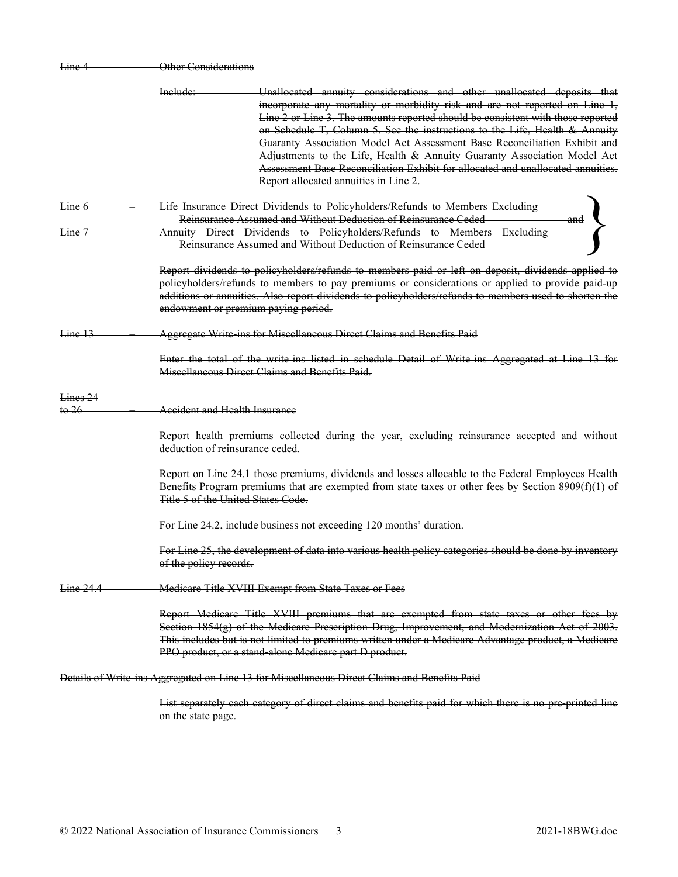| Line 4                                | <b>Other Considerations</b>                                                                                                                                                                                                                                                                                                                                                                                                                                                                                                                                                                                              |
|---------------------------------------|--------------------------------------------------------------------------------------------------------------------------------------------------------------------------------------------------------------------------------------------------------------------------------------------------------------------------------------------------------------------------------------------------------------------------------------------------------------------------------------------------------------------------------------------------------------------------------------------------------------------------|
|                                       | Include:<br>Unallocated annuity considerations and other unallocated deposits that<br>incorporate any mortality or morbidity risk and are not reported on Line 1,<br>Line 2 or Line 3. The amounts reported should be consistent with those reported<br>on Schedule T, Column 5. See the instructions to the Life, Health & Annuity<br>Guaranty Association Model Act Assessment Base Reconciliation Exhibit and<br>Adjustments to the Life, Health & Annuity Guaranty Association Model Act<br>Assessment Base Reconciliation Exhibit for allocated and unallocated annuities.<br>Report allocated annuities in Line 2. |
| Line 6                                | Life Insurance Direct Dividends to Policyholders/Refunds to Members Excluding<br>Reinsurance Assumed and Without Deduction of Reinsurance Ceded                                                                                                                                                                                                                                                                                                                                                                                                                                                                          |
| Line 7                                | Annuity Direct Dividends to Policyholders/Refunds to Members Excluding<br>Reinsurance Assumed and Without Deduction of Reinsurance Ceded                                                                                                                                                                                                                                                                                                                                                                                                                                                                                 |
|                                       | Report dividends to policyholders/refunds to members paid or left on deposit, dividends applied to<br>policyholders/refunds to members to pay premiums or considerations or applied to provide paid up<br>additions or annuities. Also report dividends to policyholders/refunds to members used to shorten the<br>endowment or premium paying period.                                                                                                                                                                                                                                                                   |
| $\frac{1}{2}$                         | Aggregate Write ins for Miscellaneous Direct Claims and Benefits Paid                                                                                                                                                                                                                                                                                                                                                                                                                                                                                                                                                    |
|                                       | Enter the total of the write ins listed in schedule Detail of Write ins Aggregated at Line 13 for<br>Miscellaneous Direct Claims and Benefits Paid.                                                                                                                                                                                                                                                                                                                                                                                                                                                                      |
| Lines <sub>24</sub><br>$\frac{1}{26}$ | Accident and Health Insurance                                                                                                                                                                                                                                                                                                                                                                                                                                                                                                                                                                                            |
|                                       | Report health premiums collected during the year, excluding reinsurance accepted and without<br>deduction of reinsurance ceded.                                                                                                                                                                                                                                                                                                                                                                                                                                                                                          |
|                                       | Report on Line 24.1 those premiums, dividends and losses allocable to the Federal Employees Health<br>Benefits Program premiums that are exempted from state taxes or other fees by Section 8909(f)(1) of<br>Title 5 of the United States Code.                                                                                                                                                                                                                                                                                                                                                                          |
|                                       | For Line 24.2, include business not exceeding 120 months' duration.                                                                                                                                                                                                                                                                                                                                                                                                                                                                                                                                                      |
|                                       | For Line 25, the development of data into various health policy categories should be done by inventory<br>of the policy records.                                                                                                                                                                                                                                                                                                                                                                                                                                                                                         |
| Line 24.4                             | Medicare Title XVIII Exempt from State Taxes or Fees                                                                                                                                                                                                                                                                                                                                                                                                                                                                                                                                                                     |
|                                       | Report Medicare Title XVIII premiums that are exempted from state taxes or other fees by<br>Section 1854(g) of the Medicare Prescription Drug, Improvement, and Modernization Act of 2003.<br>This includes but is not limited to premiums written under a Medicare Advantage product, a Medicare<br>PPO product, or a stand-alone Medicare part D product.                                                                                                                                                                                                                                                              |
|                                       | Details of Write ins Aggregated on Line 13 for Miscellaneous Direct Claims and Benefits Paid                                                                                                                                                                                                                                                                                                                                                                                                                                                                                                                             |
|                                       | List separately each category of direct claims and benefits paid for which there is no pre printed line<br>on the state page.                                                                                                                                                                                                                                                                                                                                                                                                                                                                                            |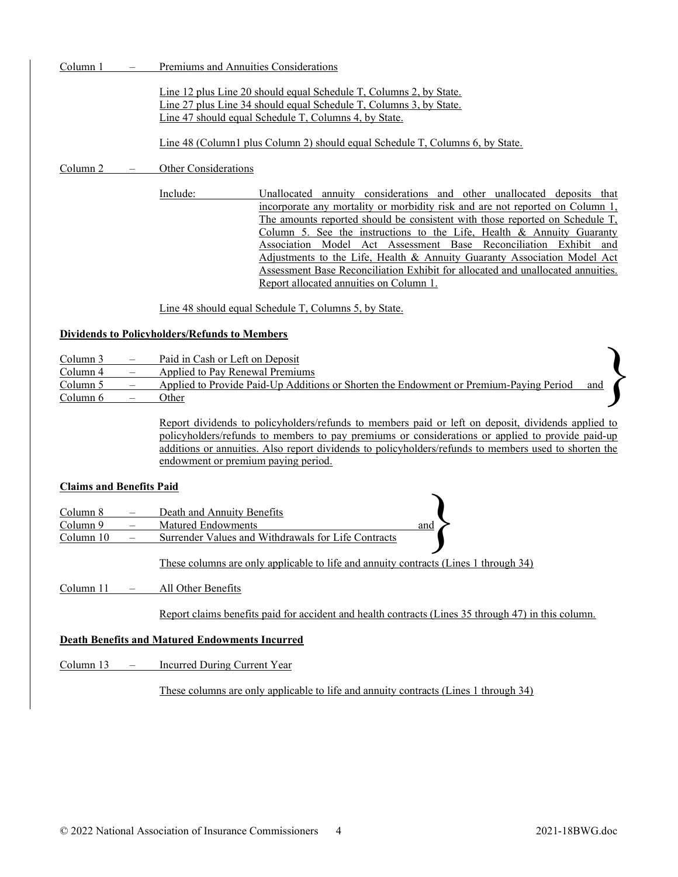Column 1 – Premiums and Annuities Considerations

Line 12 plus Line 20 should equal Schedule T, Columns 2, by State. Line 27 plus Line 34 should equal Schedule T, Columns 3, by State. Line 47 should equal Schedule T, Columns 4, by State.

Line 48 (Column1 plus Column 2) should equal Schedule T, Columns 6, by State.

Column 2 – Other Considerations

Include: Unallocated annuity considerations and other unallocated deposits that incorporate any mortality or morbidity risk and are not reported on Column 1, The amounts reported should be consistent with those reported on Schedule T, Column 5. See the instructions to the Life, Health & Annuity Guaranty Association Model Act Assessment Base Reconciliation Exhibit and Adjustments to the Life, Health & Annuity Guaranty Association Model Act Assessment Base Reconciliation Exhibit for allocated and unallocated annuities. Report allocated annuities on Column 1.

Line 48 should equal Schedule T, Columns 5, by State.

### Dividends to Policyholders/Refunds to Members

- Column 3 Paid in Cash or Left on Deposit
- Column 4 Applied to Pay Renewal Premiums

Column 5 – Applied to Provide Paid-Up Additions or Shorten the Endowment or Premium-Paying Period Column 6 – Other

> Report dividends to policyholders/refunds to members paid or left on deposit, dividends applied to policyholders/refunds to members to pay premiums or considerations or applied to provide paid-up additions or annuities. Also report dividends to policyholders/refunds to members used to shorten the endowment or premium paying period.

### Claims and Benefits Paid

| -Cialilis aliu dellettis Faiu |                                                                                      |     |  |
|-------------------------------|--------------------------------------------------------------------------------------|-----|--|
| Column 8                      | Death and Annuity Benefits                                                           |     |  |
| Column 9                      | Matured Endowments                                                                   | and |  |
| Column 10                     | Surrender Values and Withdrawals for Life Contracts                                  |     |  |
|                               |                                                                                      |     |  |
|                               | These columns are only applicable to life and annuity contracts (Lines 1 through 34) |     |  |

Column 11 – All Other Benefits

Report claims benefits paid for accident and health contracts (Lines 35 through 47) in this column.

## Death Benefits and Matured Endowments Incurred

Column 13 – Incurred During Current Year

These columns are only applicable to life and annuity contracts (Lines 1 through 34)

}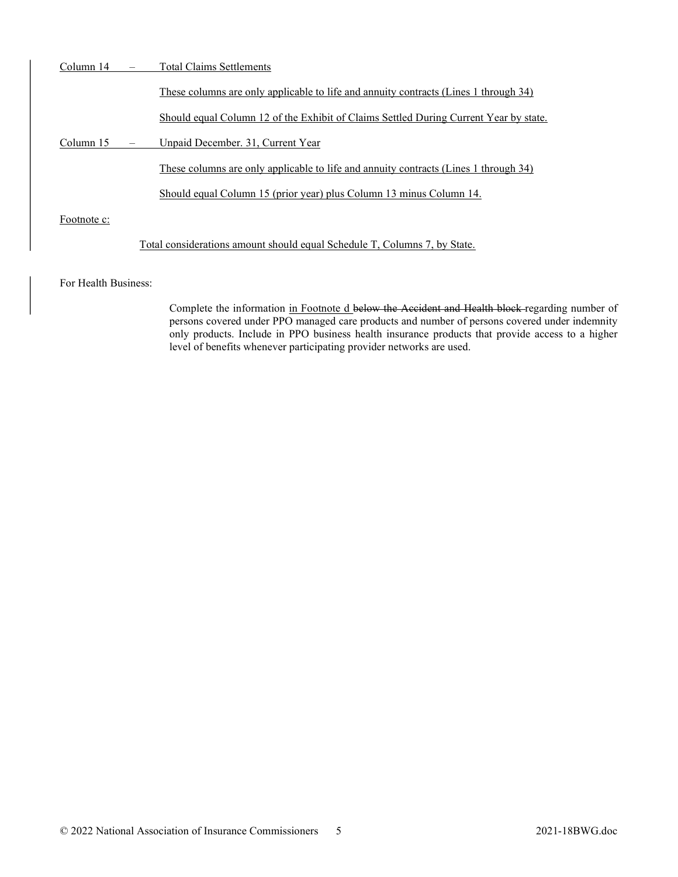| Column 14   |                          | <b>Total Claims Settlements</b>                                                       |
|-------------|--------------------------|---------------------------------------------------------------------------------------|
|             |                          | These columns are only applicable to life and annuity contracts (Lines 1 through 34)  |
|             |                          | Should equal Column 12 of the Exhibit of Claims Settled During Current Year by state. |
| Column 15   | $\overline{\phantom{m}}$ | Unpaid December. 31, Current Year                                                     |
|             |                          | These columns are only applicable to life and annuity contracts (Lines 1 through 34)  |
|             |                          | Should equal Column 15 (prior year) plus Column 13 minus Column 14.                   |
| Footnote c: |                          |                                                                                       |
|             |                          | Total considerations amount should equal Schedule T, Columns 7, by State.             |

### For Health Business:

Complete the information in Footnote d below the Accident and Health block regarding number of persons covered under PPO managed care products and number of persons covered under indemnity only products. Include in PPO business health insurance products that provide access to a higher level of benefits whenever participating provider networks are used.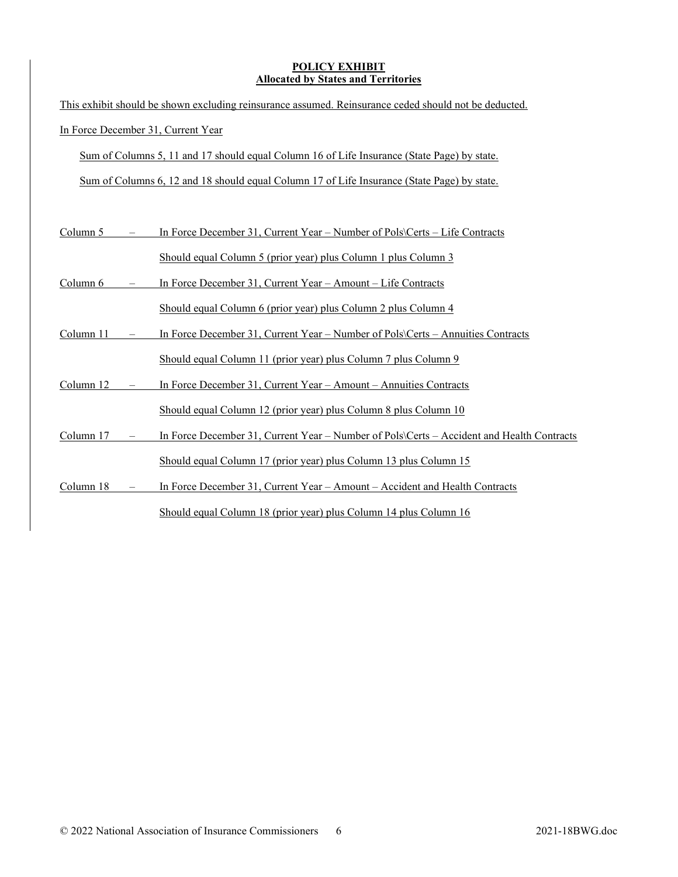## POLICY EXHIBIT Allocated by States and Territories

| This exhibit should be shown excluding reinsurance assumed. Reinsurance ceded should not be deducted. |  |                                                                                             |
|-------------------------------------------------------------------------------------------------------|--|---------------------------------------------------------------------------------------------|
|                                                                                                       |  | In Force December 31, Current Year                                                          |
|                                                                                                       |  | Sum of Columns 5, 11 and 17 should equal Column 16 of Life Insurance (State Page) by state. |
|                                                                                                       |  | Sum of Columns 6, 12 and 18 should equal Column 17 of Life Insurance (State Page) by state. |
|                                                                                                       |  |                                                                                             |
| Column 5                                                                                              |  | In Force December 31, Current Year – Number of Pols\Certs – Life Contracts                  |
|                                                                                                       |  | Should equal Column 5 (prior year) plus Column 1 plus Column 3                              |
| Column 6                                                                                              |  | In Force December 31, Current Year - Amount - Life Contracts                                |
|                                                                                                       |  | Should equal Column 6 (prior year) plus Column 2 plus Column 4                              |
| Column 11                                                                                             |  | In Force December 31, Current Year - Number of Pols\Certs - Annuities Contracts             |
|                                                                                                       |  | Should equal Column 11 (prior year) plus Column 7 plus Column 9                             |
| Column 12                                                                                             |  | In Force December 31, Current Year - Amount - Annuities Contracts                           |
|                                                                                                       |  | Should equal Column 12 (prior year) plus Column 8 plus Column 10                            |
| Column 17                                                                                             |  | In Force December 31, Current Year – Number of Pols\Certs – Accident and Health Contracts   |
|                                                                                                       |  | Should equal Column 17 (prior year) plus Column 13 plus Column 15                           |
| Column 18                                                                                             |  | In Force December 31, Current Year - Amount - Accident and Health Contracts                 |
|                                                                                                       |  | Should equal Column 18 (prior year) plus Column 14 plus Column 16                           |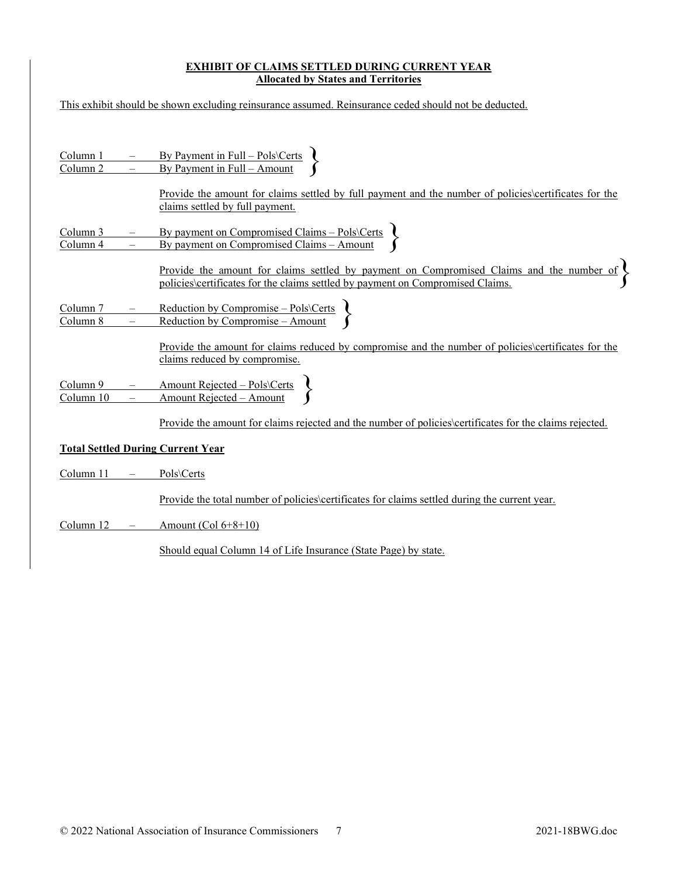## EXHIBIT OF CLAIMS SETTLED DURING CURRENT YEAR **Allocated by States and Territories**

| This exhibit should be shown excluding reinsurance assumed. Reinsurance ceded should not be deducted. |                                      |                                                                                                                                                                                   |
|-------------------------------------------------------------------------------------------------------|--------------------------------------|-----------------------------------------------------------------------------------------------------------------------------------------------------------------------------------|
|                                                                                                       |                                      |                                                                                                                                                                                   |
| <u>Column 1</u><br>Column 2                                                                           |                                      | By Payment in Full – Pols\Certs<br>By Payment in Full – Amount                                                                                                                    |
|                                                                                                       |                                      | Provide the amount for claims settled by full payment and the number of policies certificates for the<br>claims settled by full payment.                                          |
| <u>Column 3</u><br>Column 4                                                                           |                                      | By payment on Compromised Claims – Pols\Certs<br>By payment on Compromised Claims – Amount                                                                                        |
|                                                                                                       |                                      | <u>Provide the amount for claims settled by payment on Compromised Claims and the number of</u><br>policies\certificates for the claims settled by payment on Compromised Claims. |
| Column 7<br>Column 8                                                                                  | $\overline{\phantom{m}}$<br>$\equiv$ | Reduction by Compromise – Pols\Certs<br>Reduction by Compromise – Amount                                                                                                          |
|                                                                                                       |                                      | Provide the amount for claims reduced by compromise and the number of policies certificates for the<br>claims reduced by compromise.                                              |
| Column 9<br>Column 10                                                                                 |                                      | Amount Rejected – Pols\Certs<br>Amount Rejected – Amount                                                                                                                          |
|                                                                                                       |                                      | <u>Provide the amount for claims rejected and the number of policies certificates for the claims rejected.</u>                                                                    |
|                                                                                                       |                                      | <b>Total Settled During Current Year</b>                                                                                                                                          |
| Column 11                                                                                             | $\overline{\phantom{m}}$             | Pols\Certs                                                                                                                                                                        |
|                                                                                                       |                                      | <u>Provide the total number of policies certificates for claims settled during the current year.</u>                                                                              |
| Column 12                                                                                             |                                      | Amount $(Col 6+8+10)$                                                                                                                                                             |
|                                                                                                       |                                      | Should equal Column 14 of Life Insurance (State Page) by state.                                                                                                                   |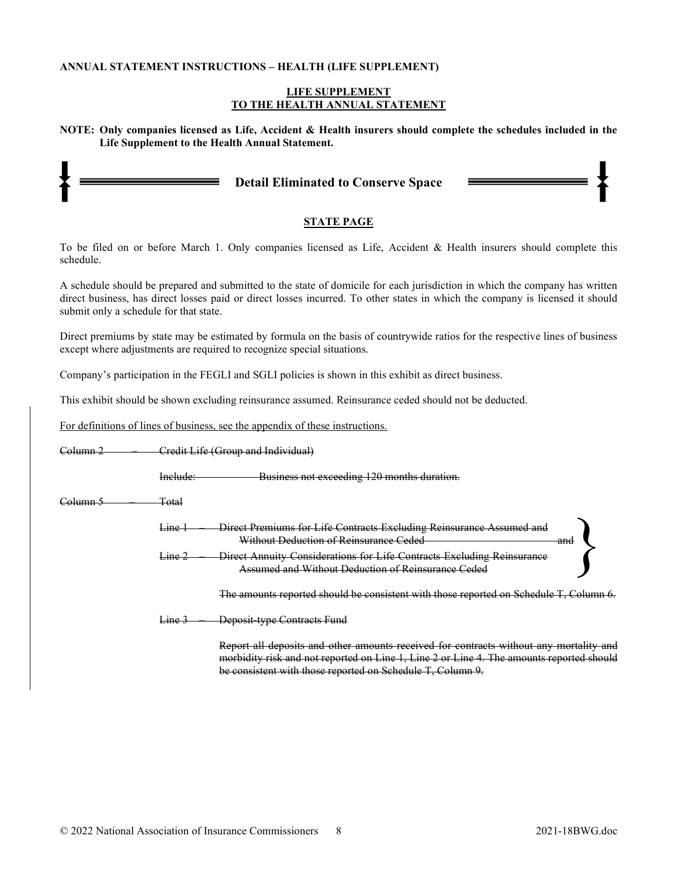#### ANNUAL STATEMENT INSTRUCTIONS – HEALTH (LIFE SUPPLEMENT)

#### LIFE SUPPLEMENT TO THE HEALTH ANNUAL STATEMENT

NOTE: Only companies licensed as Life, Accident & Health insurers should complete the schedules included in the Life Supplement to the Health Annual Statement.

|  |  | <b>Detail Eliminated to Conserve Space</b> |  |
|--|--|--------------------------------------------|--|
|--|--|--------------------------------------------|--|

## STATE PAGE

To be filed on or before March 1. Only companies licensed as Life, Accident & Health insurers should complete this schedule.

A schedule should be prepared and submitted to the state of domicile for each jurisdiction in which the company has written direct business, has direct losses paid or direct losses incurred. To other states in which the company is licensed it should submit only a schedule for that state.

Direct premiums by state may be estimated by formula on the basis of countrywide ratios for the respective lines of business except where adjustments are required to recognize special situations.

Company's participation in the FEGLI and SGLI policies is shown in this exhibit as direct business.

This exhibit should be shown excluding reinsurance assumed. Reinsurance ceded should not be deducted.

For definitions of lines of business, see the appendix of these instructions.

| <del>Solumn 2</del> |                               | Credit Life (Group and Individual)                                                                                                                                                                                                               |  |
|---------------------|-------------------------------|--------------------------------------------------------------------------------------------------------------------------------------------------------------------------------------------------------------------------------------------------|--|
|                     | Include:                      | Business not exceeding 120 months duration.                                                                                                                                                                                                      |  |
| <del>`olumn</del>   | Total                         |                                                                                                                                                                                                                                                  |  |
|                     | <del>Line</del>               | Direct Premiums for Life Contracts Excluding Reinsurance Assumed<br>Without Deduction of Reinsurance Ceded<br>and                                                                                                                                |  |
|                     | $\frac{L}{L}$ + $\frac{2}{L}$ | Direct Annuity Considerations for Life Contracts Excluding Reinsurance<br>Assumed and Without Deduction of Reinsurance Ceded                                                                                                                     |  |
|                     |                               | The amounts reported should be consistent with those reported on Schedule T, Column 6.                                                                                                                                                           |  |
|                     | <del>Line .</del>             | Deposit type Contracts Fund                                                                                                                                                                                                                      |  |
|                     |                               | Report all deposits and other amounts received for contracts without any mortality and<br>morbidity risk and not reported on Line 1, Line 2 or Line 4. The amounts reported should<br>be consistent with those reported on Schedule T, Column 9. |  |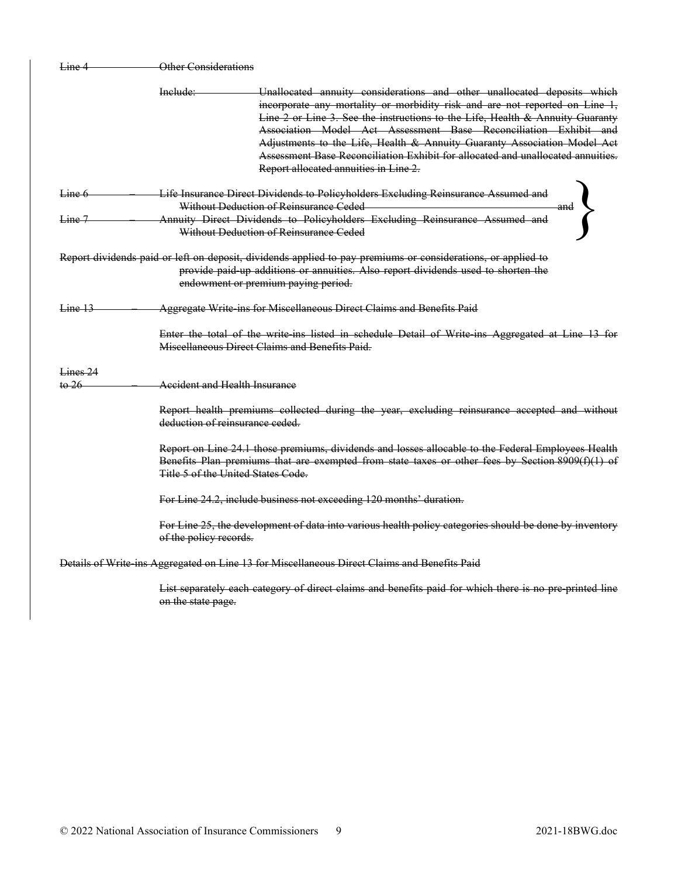| Line 4              | Other Considerations                 |                                                                                                                                                                                                                                                                                                                                                                                                                                                                                                                     |
|---------------------|--------------------------------------|---------------------------------------------------------------------------------------------------------------------------------------------------------------------------------------------------------------------------------------------------------------------------------------------------------------------------------------------------------------------------------------------------------------------------------------------------------------------------------------------------------------------|
|                     | Include:                             | Unallocated annuity considerations and other unallocated deposits which<br>incorporate any mortality or morbidity risk and are not reported on Line 1,<br>Line 2 or Line 3. See the instructions to the Life, Health & Annuity Guaranty<br>Association Model Act Assessment Base Reconciliation Exhibit and<br>Adjustments to the Life, Health & Annuity Guaranty Association Model Act<br>Assessment Base Reconciliation Exhibit for allocated and unallocated annuities.<br>Report allocated annuities in Line 2. |
| Line 6              |                                      | Life Insurance Direct Dividends to Policyholders Excluding Reinsurance Assumed and                                                                                                                                                                                                                                                                                                                                                                                                                                  |
|                     |                                      | Without Deduction of Reinsurance Ceded<br>and                                                                                                                                                                                                                                                                                                                                                                                                                                                                       |
| Line 7              |                                      | Annuity Direct Dividends to Policyholders Excluding Reinsurance Assumed and                                                                                                                                                                                                                                                                                                                                                                                                                                         |
|                     |                                      | Without Deduction of Reinsurance Ceded                                                                                                                                                                                                                                                                                                                                                                                                                                                                              |
|                     |                                      | Report dividends paid or left on deposit, dividends applied to pay premiums or considerations, or applied to<br>provide paid-up additions or annuities. Also report dividends used to shorten the<br>endowment or premium paying period.                                                                                                                                                                                                                                                                            |
| Line 13             |                                      | Aggregate Write ins for Miscellaneous Direct Claims and Benefits Paid                                                                                                                                                                                                                                                                                                                                                                                                                                               |
|                     |                                      | Enter the total of the write ins listed in schedule Detail of Write ins Aggregated at Line 13 for<br>Miseellaneous Direct Claims and Benefits Paid.                                                                                                                                                                                                                                                                                                                                                                 |
| Lines <sub>24</sub> |                                      |                                                                                                                                                                                                                                                                                                                                                                                                                                                                                                                     |
| to 26               | <b>Accident and Health Insurance</b> |                                                                                                                                                                                                                                                                                                                                                                                                                                                                                                                     |
|                     | deduction of reinsurance ceded.      | Report health premiums collected during the year, excluding reinsurance accepted and without                                                                                                                                                                                                                                                                                                                                                                                                                        |
|                     | Title 5 of the United States Code.   | Report on Line 24.1 those premiums, dividends and losses allocable to the Federal Employees Health<br>Benefits Plan premiums that are exempted from state taxes or other fees by Section 8909(f)(1) of                                                                                                                                                                                                                                                                                                              |
|                     |                                      | For Line 24.2, include business not exceeding 120 months' duration.                                                                                                                                                                                                                                                                                                                                                                                                                                                 |
|                     | of the policy records.               | For Line 25, the development of data into various health policy categories should be done by inventory                                                                                                                                                                                                                                                                                                                                                                                                              |
|                     |                                      | Details of Write ins Aggregated on Line 13 for Miscellaneous Direct Claims and Benefits Paid                                                                                                                                                                                                                                                                                                                                                                                                                        |
|                     | on the state page.                   | List separately each category of direct claims and benefits paid for which there is no pre printed line                                                                                                                                                                                                                                                                                                                                                                                                             |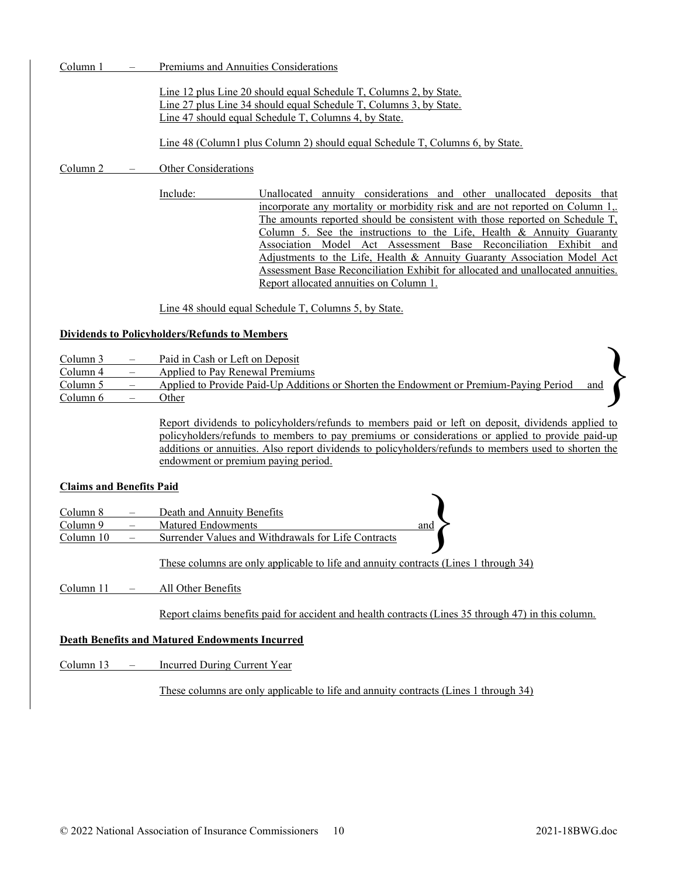Column 1 – Premiums and Annuities Considerations

Line 12 plus Line 20 should equal Schedule T, Columns 2, by State. Line 27 plus Line 34 should equal Schedule T, Columns 3, by State. Line 47 should equal Schedule T, Columns 4, by State.

Line 48 (Column1 plus Column 2) should equal Schedule T, Columns 6, by State.

Column 2 – Other Considerations

Include: Unallocated annuity considerations and other unallocated deposits that incorporate any mortality or morbidity risk and are not reported on Column 1,. The amounts reported should be consistent with those reported on Schedule T, Column 5. See the instructions to the Life, Health & Annuity Guaranty Association Model Act Assessment Base Reconciliation Exhibit and Adjustments to the Life, Health & Annuity Guaranty Association Model Act Assessment Base Reconciliation Exhibit for allocated and unallocated annuities. Report allocated annuities on Column 1.

Line 48 should equal Schedule T, Columns 5, by State.

### Dividends to Policyholders/Refunds to Members

- Column 3 Paid in Cash or Left on Deposit
- Column 4 Applied to Pay Renewal Premiums

Column 5 – Applied to Provide Paid-Up Additions or Shorten the Endowment or Premium-Paying Period Column 6 – Other

> Report dividends to policyholders/refunds to members paid or left on deposit, dividends applied to policyholders/refunds to members to pay premiums or considerations or applied to provide paid-up additions or annuities. Also report dividends to policyholders/refunds to members used to shorten the endowment or premium paying period.

### Claims and Benefits Paid

| -Cialilis aliu dellettis Faiu |                                                                                      |     |  |
|-------------------------------|--------------------------------------------------------------------------------------|-----|--|
| Column 8                      | Death and Annuity Benefits                                                           |     |  |
| Column 9                      | Matured Endowments                                                                   | and |  |
| Column 10                     | Surrender Values and Withdrawals for Life Contracts                                  |     |  |
|                               |                                                                                      |     |  |
|                               | These columns are only applicable to life and annuity contracts (Lines 1 through 34) |     |  |

Column 11 – All Other Benefits

Report claims benefits paid for accident and health contracts (Lines 35 through 47) in this column.

## Death Benefits and Matured Endowments Incurred

Column 13 – Incurred During Current Year

These columns are only applicable to life and annuity contracts (Lines 1 through 34)

}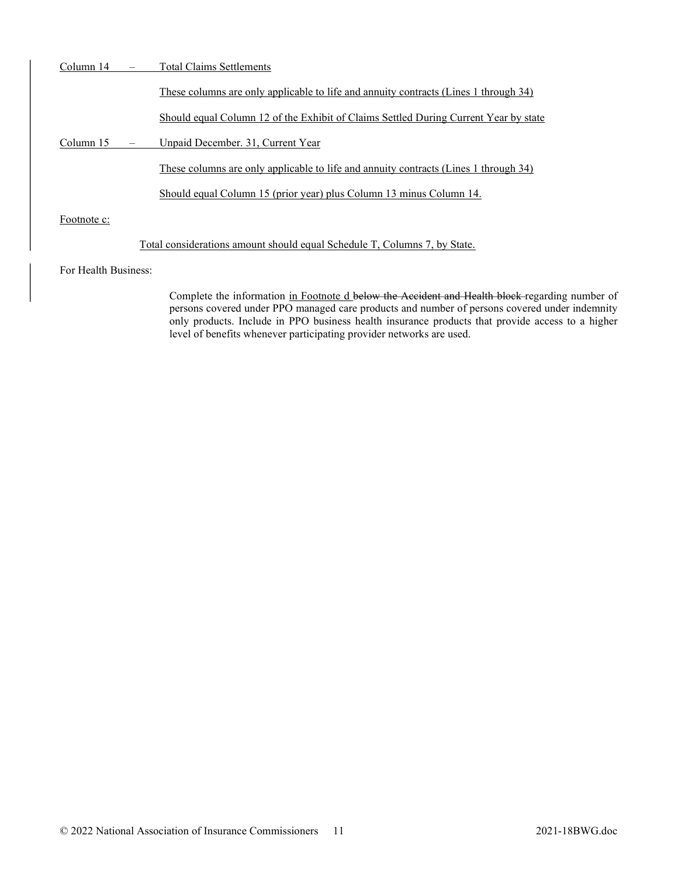| Column 14            | <b>Total Claims Settlements</b>                                                      |
|----------------------|--------------------------------------------------------------------------------------|
|                      | These columns are only applicable to life and annuity contracts (Lines 1 through 34) |
|                      | Should equal Column 12 of the Exhibit of Claims Settled During Current Year by state |
| Column 15            | Unpaid December. 31, Current Year                                                    |
|                      | These columns are only applicable to life and annuity contracts (Lines 1 through 34) |
|                      | Should equal Column 15 (prior year) plus Column 13 minus Column 14.                  |
| Footnote c:          |                                                                                      |
|                      | Total considerations amount should equal Schedule T, Columns 7, by State.            |
| For Health Business: |                                                                                      |
|                      | Complete the information in Footnote d below the Accident and Health block regarding |

g number of persons covered under PPO managed care products and number of persons covered under indemnity only products. Include in PPO business health insurance products that provide access to a higher level of benefits whenever participating provider networks are used.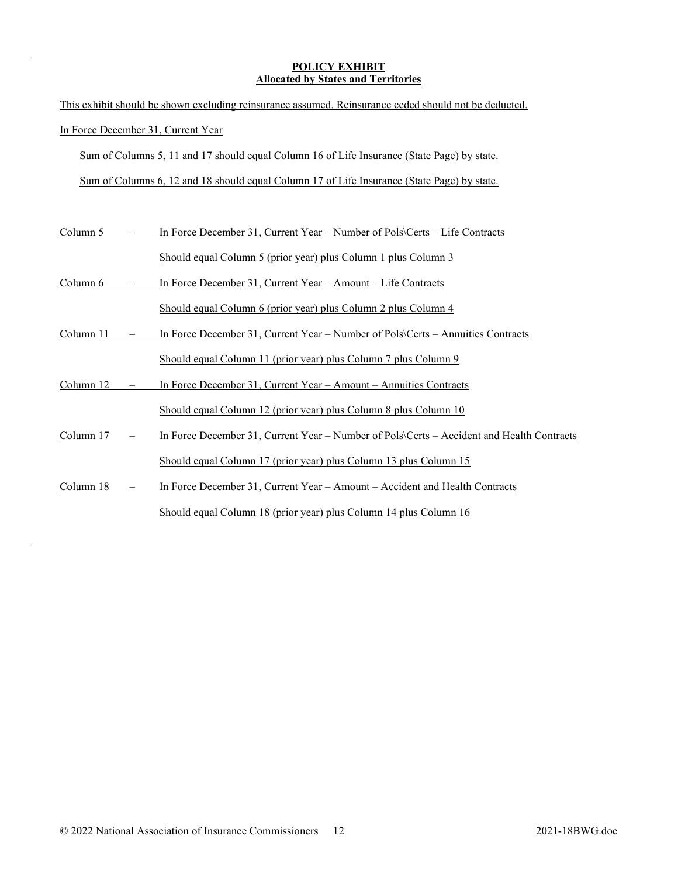## POLICY EXHIBIT Allocated by States and Territories

|           | This exhibit should be shown excluding reinsurance assumed. Reinsurance ceded should not be deducted. |
|-----------|-------------------------------------------------------------------------------------------------------|
|           | In Force December 31, Current Year                                                                    |
|           | Sum of Columns 5, 11 and 17 should equal Column 16 of Life Insurance (State Page) by state.           |
|           | Sum of Columns 6, 12 and 18 should equal Column 17 of Life Insurance (State Page) by state.           |
|           |                                                                                                       |
| Column 5  | In Force December 31, Current Year – Number of Pols\Certs – Life Contracts                            |
|           | Should equal Column 5 (prior year) plus Column 1 plus Column 3                                        |
| Column 6  | In Force December 31, Current Year – Amount – Life Contracts                                          |
|           | Should equal Column 6 (prior year) plus Column 2 plus Column 4                                        |
| Column 11 | In Force December 31, Current Year – Number of Pols\Certs – Annuities Contracts                       |
|           | Should equal Column 11 (prior year) plus Column 7 plus Column 9                                       |
| Column 12 | In Force December 31, Current Year - Amount - Annuities Contracts                                     |
|           | Should equal Column 12 (prior year) plus Column 8 plus Column 10                                      |
| Column 17 | In Force December 31, Current Year - Number of Pols\Certs - Accident and Health Contracts             |
|           | Should equal Column 17 (prior year) plus Column 13 plus Column 15                                     |
| Column 18 | In Force December 31, Current Year – Amount – Accident and Health Contracts                           |
|           | Should equal Column 18 (prior year) plus Column 14 plus Column 16                                     |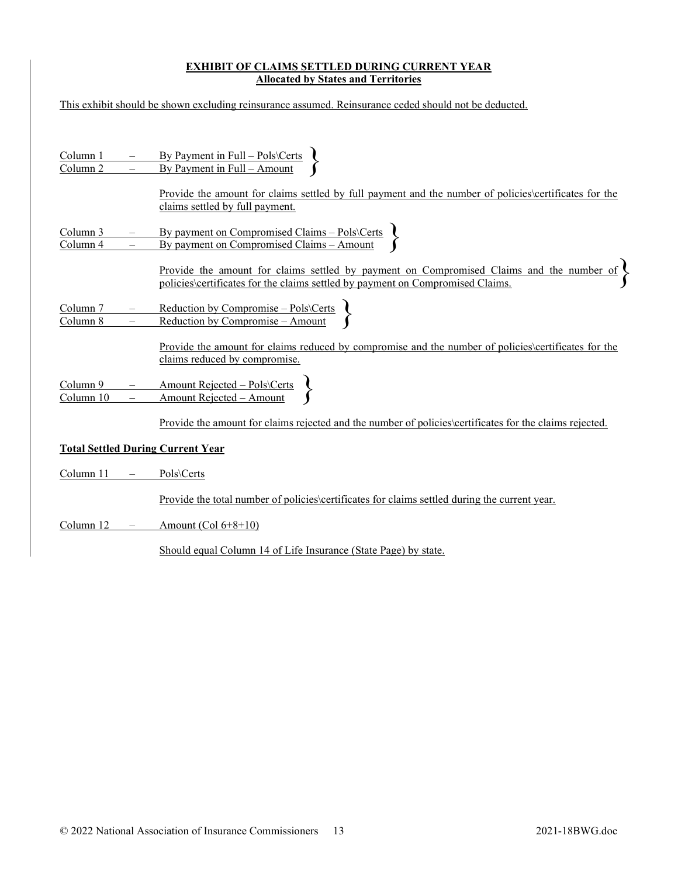## EXHIBIT OF CLAIMS SETTLED DURING CURRENT YEAR Allocated by States and Territories

|                                        |                                                      | This exhibit should be shown excluding reinsurance assumed. Reinsurance ceded should not be deducted.                                                                                                         |
|----------------------------------------|------------------------------------------------------|---------------------------------------------------------------------------------------------------------------------------------------------------------------------------------------------------------------|
|                                        |                                                      |                                                                                                                                                                                                               |
| <u>Column 1</u><br>Column 2            |                                                      | By Payment in Full – Pols\Certs<br>By Payment in Full – Amount                                                                                                                                                |
|                                        |                                                      | Provide the amount for claims settled by full payment and the number of policies\certificates for the<br>claims settled by full payment.                                                                      |
| <u>Column 3</u><br>Column <sub>4</sub> | $\overline{\phantom{0}}$                             | By payment on Compromised Claims – Pols\Certs<br>By payment on Compromised Claims – Amount                                                                                                                    |
|                                        |                                                      | <u>Provide the amount for claims settled by payment on Compromised Claims and the number of <math>\left\{\right.</math></u><br>policies\certificates for the claims settled by payment on Compromised Claims. |
| Column <sub>7</sub><br>Column 8        | $\overline{\phantom{m}}$<br>$\overline{\phantom{0}}$ | Reduction by Compromise – Pols\Certs<br>Reduction by Compromise – Amount                                                                                                                                      |
|                                        |                                                      | Provide the amount for claims reduced by compromise and the number of policies certificates for the<br>claims reduced by compromise.                                                                          |
| Column 9<br>Column 10                  |                                                      | Amount Rejected – Pols\Certs<br>Amount Rejected – Amount                                                                                                                                                      |
|                                        |                                                      | <u>Provide the amount for claims rejected and the number of policies certificates for the claims rejected.</u>                                                                                                |
|                                        |                                                      | <b>Total Settled During Current Year</b>                                                                                                                                                                      |
| Column 11                              |                                                      | Pols\Certs                                                                                                                                                                                                    |
|                                        |                                                      | <u>Provide the total number of policies certificates for claims settled during the current year.</u>                                                                                                          |
| Column 12                              |                                                      | Amount $(Col 6+8+10)$                                                                                                                                                                                         |
|                                        |                                                      | Should equal Column 14 of Life Insurance (State Page) by state.                                                                                                                                               |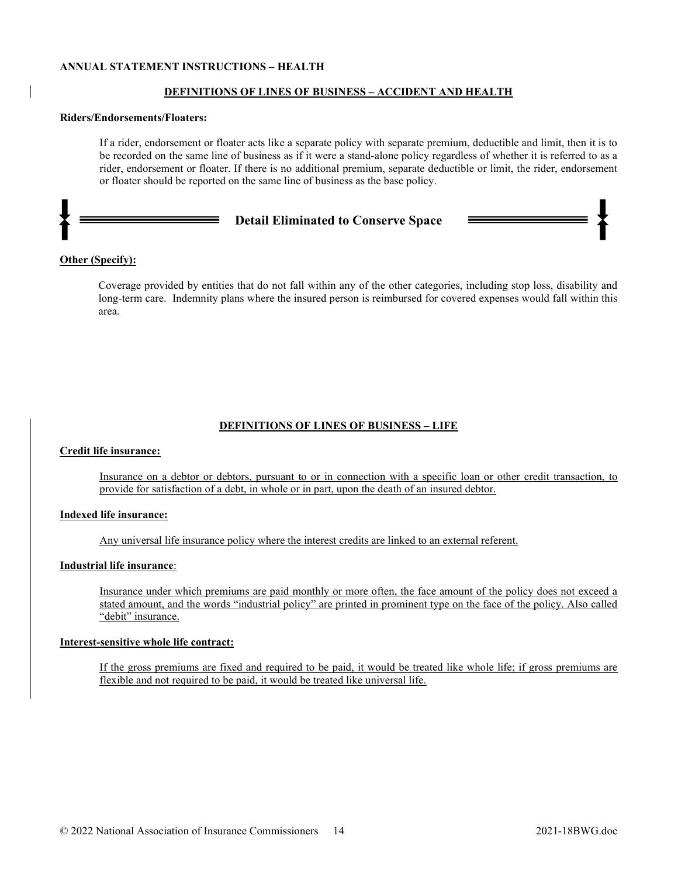#### ANNUAL STATEMENT INSTRUCTIONS – HEALTH

#### DEFINITIONS OF LINES OF BUSINESS – ACCIDENT AND HEALTH

#### Riders/Endorsements/Floaters:

If a rider, endorsement or floater acts like a separate policy with separate premium, deductible and limit, then it is to be recorded on the same line of business as if it were a stand-alone policy regardless of whether it is referred to as a rider, endorsement or floater. If there is no additional premium, separate deductible or limit, the rider, endorsement or floater should be reported on the same line of business as the base policy.

#### Detail Eliminated to Conserve Space

#### Other (Specify):

Coverage provided by entities that do not fall within any of the other categories, including stop loss, disability and long-term care. Indemnity plans where the insured person is reimbursed for covered expenses would fall within this area.

#### DEFINITIONS OF LINES OF BUSINESS – LIFE

#### Credit life insurance:

Insurance on a debtor or debtors, pursuant to or in connection with a specific loan or other credit transaction, to provide for satisfaction of a debt, in whole or in part, upon the death of an insured debtor.

#### Indexed life insurance:

Any universal life insurance policy where the interest credits are linked to an external referent.

## Industrial life insurance:

Insurance under which premiums are paid monthly or more often, the face amount of the policy does not exceed a stated amount, and the words "industrial policy" are printed in prominent type on the face of the policy. Also called "debit" insurance.

#### Interest-sensitive whole life contract:

If the gross premiums are fixed and required to be paid, it would be treated like whole life; if gross premiums are flexible and not required to be paid, it would be treated like universal life.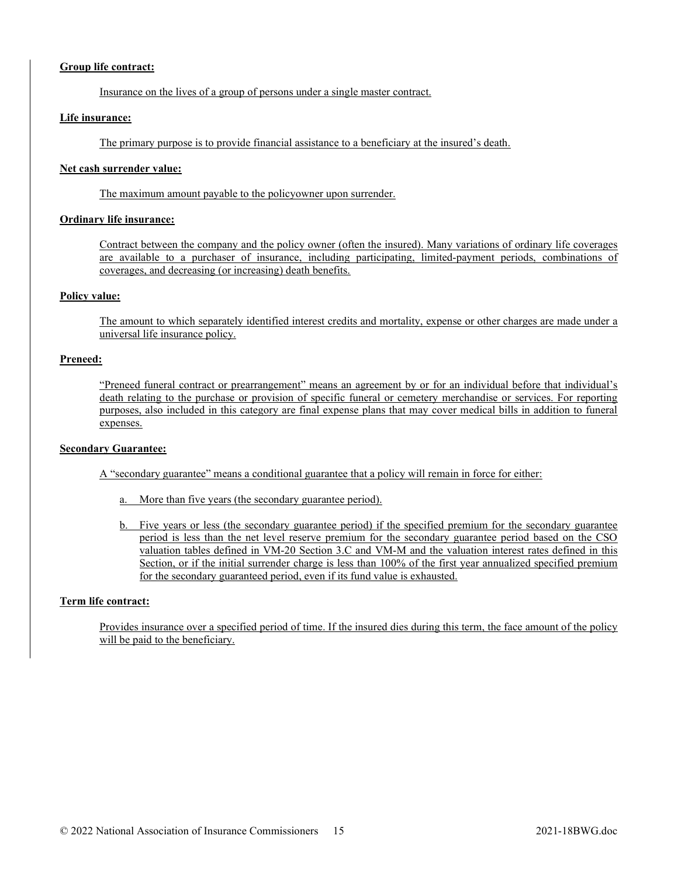#### Group life contract:

Insurance on the lives of a group of persons under a single master contract.

#### Life insurance:

The primary purpose is to provide financial assistance to a beneficiary at the insured's death.

#### Net cash surrender value:

The maximum amount payable to the policyowner upon surrender.

#### Ordinary life insurance:

Contract between the company and the policy owner (often the insured). Many variations of ordinary life coverages are available to a purchaser of insurance, including participating, limited-payment periods, combinations of coverages, and decreasing (or increasing) death benefits.

#### Policy value:

The amount to which separately identified interest credits and mortality, expense or other charges are made under a universal life insurance policy.

#### Preneed:

"Preneed funeral contract or prearrangement" means an agreement by or for an individual before that individual's death relating to the purchase or provision of specific funeral or cemetery merchandise or services. For reporting purposes, also included in this category are final expense plans that may cover medical bills in addition to funeral expenses.

### Secondary Guarantee:

A "secondary guarantee" means a conditional guarantee that a policy will remain in force for either:

a. More than five years (the secondary guarantee period).

b. Five years or less (the secondary guarantee period) if the specified premium for the secondary guarantee period is less than the net level reserve premium for the secondary guarantee period based on the CSO valuation tables defined in VM-20 Section 3.C and VM-M and the valuation interest rates defined in this Section, or if the initial surrender charge is less than 100% of the first year annualized specified premium for the secondary guaranteed period, even if its fund value is exhausted.

### Term life contract:

Provides insurance over a specified period of time. If the insured dies during this term, the face amount of the policy will be paid to the beneficiary.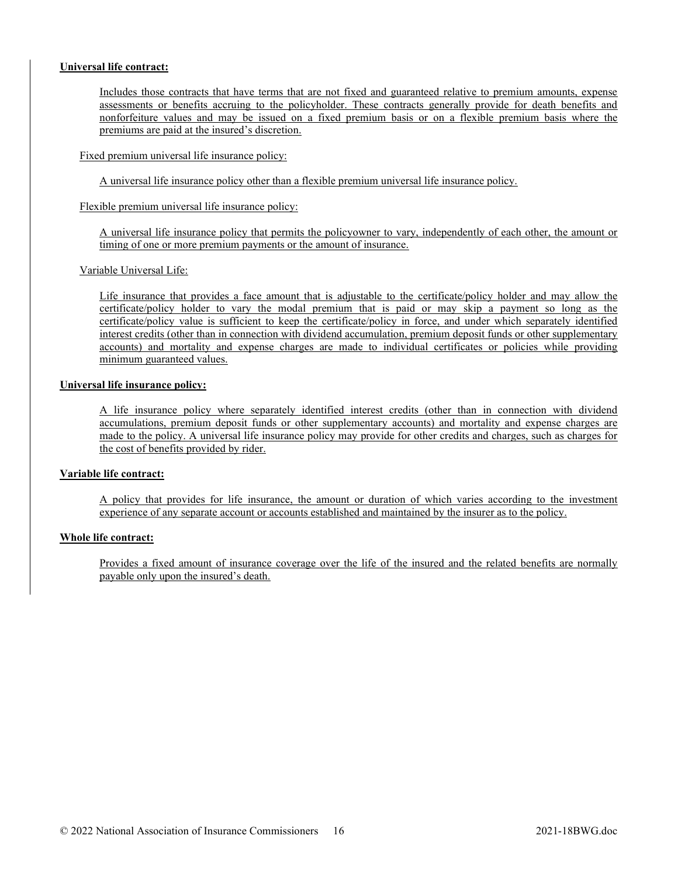#### Universal life contract:

Includes those contracts that have terms that are not fixed and guaranteed relative to premium amounts, expense assessments or benefits accruing to the policyholder. These contracts generally provide for death benefits and nonforfeiture values and may be issued on a fixed premium basis or on a flexible premium basis where the premiums are paid at the insured's discretion.

Fixed premium universal life insurance policy:

A universal life insurance policy other than a flexible premium universal life insurance policy.

Flexible premium universal life insurance policy:

A universal life insurance policy that permits the policyowner to vary, independently of each other, the amount or timing of one or more premium payments or the amount of insurance.

#### Variable Universal Life:

Life insurance that provides a face amount that is adjustable to the certificate/policy holder and may allow the certificate/policy holder to vary the modal premium that is paid or may skip a payment so long as the certificate/policy value is sufficient to keep the certificate/policy in force, and under which separately identified interest credits (other than in connection with dividend accumulation, premium deposit funds or other supplementary accounts) and mortality and expense charges are made to individual certificates or policies while providing minimum guaranteed values.

#### Universal life insurance policy:

A life insurance policy where separately identified interest credits (other than in connection with dividend accumulations, premium deposit funds or other supplementary accounts) and mortality and expense charges are made to the policy. A universal life insurance policy may provide for other credits and charges, such as charges for the cost of benefits provided by rider.

#### Variable life contract:

A policy that provides for life insurance, the amount or duration of which varies according to the investment experience of any separate account or accounts established and maintained by the insurer as to the policy.

### Whole life contract:

Provides a fixed amount of insurance coverage over the life of the insured and the related benefits are normally payable only upon the insured's death.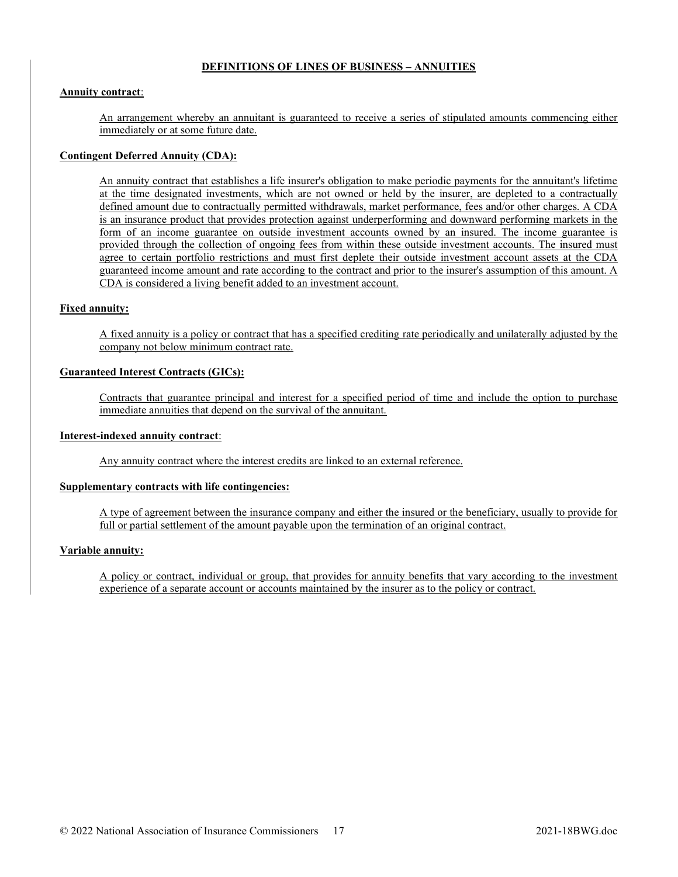### DEFINITIONS OF LINES OF BUSINESS – ANNUITIES

#### **Annuity contract:**

An arrangement whereby an annuitant is guaranteed to receive a series of stipulated amounts commencing either immediately or at some future date.

#### Contingent Deferred Annuity (CDA):

An annuity contract that establishes a life insurer's obligation to make periodic payments for the annuitant's lifetime at the time designated investments, which are not owned or held by the insurer, are depleted to a contractually defined amount due to contractually permitted withdrawals, market performance, fees and/or other charges. A CDA is an insurance product that provides protection against underperforming and downward performing markets in the form of an income guarantee on outside investment accounts owned by an insured. The income guarantee is provided through the collection of ongoing fees from within these outside investment accounts. The insured must agree to certain portfolio restrictions and must first deplete their outside investment account assets at the CDA guaranteed income amount and rate according to the contract and prior to the insurer's assumption of this amount. A CDA is considered a living benefit added to an investment account.

#### Fixed annuity:

A fixed annuity is a policy or contract that has a specified crediting rate periodically and unilaterally adjusted by the company not below minimum contract rate.

### Guaranteed Interest Contracts (GICs):

Contracts that guarantee principal and interest for a specified period of time and include the option to purchase immediate annuities that depend on the survival of the annuitant.

#### Interest-indexed annuity contract:

Any annuity contract where the interest credits are linked to an external reference.

#### Supplementary contracts with life contingencies:

A type of agreement between the insurance company and either the insured or the beneficiary, usually to provide for full or partial settlement of the amount payable upon the termination of an original contract.

#### Variable annuity:

A policy or contract, individual or group, that provides for annuity benefits that vary according to the investment experience of a separate account or accounts maintained by the insurer as to the policy or contract.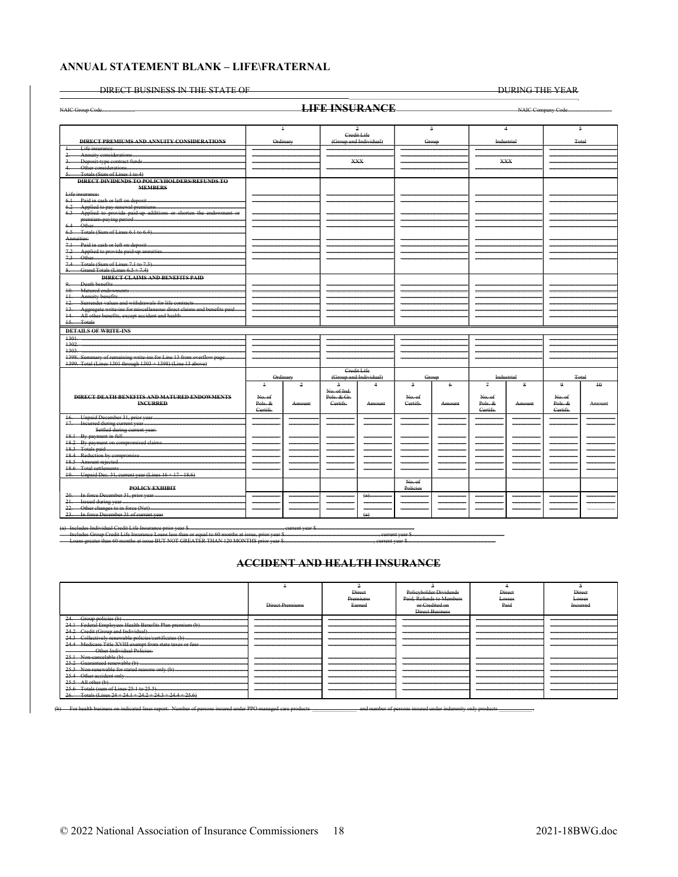#### ANNUAL STATEMENT BLANK - LIFE\FRATERNAL

DIRECT BUSINESS IN THE STATE OF

DURING THE YEAR

|                                                                           |              |                | <b>LIFE INSURANCE</b>                         |                               |              |                |                |                |          |                     |
|---------------------------------------------------------------------------|--------------|----------------|-----------------------------------------------|-------------------------------|--------------|----------------|----------------|----------------|----------|---------------------|
|                                                                           |              |                |                                               |                               |              |                |                |                |          |                     |
|                                                                           |              | $\ddot{+}$     |                                               | $\overline{a}$<br>Credit Life |              | $\overline{a}$ |                | $\overline{4}$ |          | $\sim$              |
| <b>DIRECT PREMIUMS AND ANNUITY CONSIDERATIONS</b>                         |              | Ordinary       |                                               | (Group and Individual)        |              | Group          |                | Industrial     |          | Total               |
| Life insurance<br>$\ddagger$                                              |              |                |                                               |                               |              |                |                |                |          |                     |
| 2.                                                                        |              |                |                                               | <b>XXX</b>                    |              |                |                | <b>XXX</b>     |          |                     |
| Other considerations                                                      |              |                |                                               |                               |              |                |                |                |          |                     |
| Totals (Sum of Lines 1 to 4)<br>5.                                        |              |                |                                               |                               |              |                |                |                |          |                     |
| <b>DIRECT DIVIDENDS TO POLICYHOLDERS/REFUNDS TO</b><br><b>MEMBERS</b>     |              |                |                                               |                               |              |                |                |                |          |                     |
| Life insurance:                                                           |              |                |                                               |                               |              |                |                |                |          |                     |
| 6.1 Paid in eash or left on deposit                                       |              |                |                                               |                               |              |                |                |                |          |                     |
|                                                                           |              |                |                                               |                               |              |                |                |                |          |                     |
| 6.3 Applied to provide paid-up additions or shorten the endowment or      |              |                |                                               |                               |              |                |                |                |          |                     |
|                                                                           |              |                |                                               |                               |              |                |                |                |          |                     |
|                                                                           |              |                |                                               |                               |              |                |                |                |          |                     |
| Annuities:                                                                |              |                |                                               |                               |              |                |                |                |          |                     |
| 7.1 Paid in eash or left on deposit                                       |              |                |                                               |                               |              |                |                |                |          |                     |
| 7.2 Applied to provide paid-up annuities.                                 |              |                |                                               |                               |              |                |                |                |          |                     |
|                                                                           |              |                |                                               |                               |              |                |                |                |          |                     |
| 7.4 Totals (Sum of Lines 7.1 to 7.3)                                      |              |                |                                               |                               |              |                |                |                |          |                     |
| 8. Grand Totals (Lines $6.5 + 7.4$ )                                      |              |                |                                               |                               |              |                |                |                |          |                     |
| <b>DIRECT CLAIMS AND BENEFITS PAID</b>                                    |              |                |                                               |                               |              |                |                |                |          |                     |
| 9.                                                                        |              |                |                                               |                               |              |                |                |                |          |                     |
|                                                                           |              |                |                                               |                               |              |                |                |                |          |                     |
|                                                                           |              |                |                                               |                               |              |                |                |                |          |                     |
| 12. Surrender values and withdrawals for life contracts                   |              |                |                                               |                               |              |                |                |                |          |                     |
| 13. Aggregate write-ins for miscellaneous direct claims and benefits paid |              |                |                                               |                               |              |                |                |                |          |                     |
| 15. Totals                                                                |              |                |                                               |                               |              |                |                |                |          |                     |
|                                                                           |              |                |                                               |                               |              |                |                |                |          |                     |
| <b>DETAILS OF WRITE-INS</b>                                               |              |                |                                               |                               |              |                |                |                |          |                     |
| $+301.$                                                                   |              |                |                                               |                               |              |                |                |                |          |                     |
| 1302.<br>1303.                                                            |              |                |                                               |                               |              |                |                |                |          |                     |
| 1398. Summary of remaining write-ins for Line 13 from overflow page       |              |                |                                               |                               |              |                |                |                |          |                     |
| 1399. Total (Lines 1301 through 1303 + 1398) (Line 13 above)              |              |                |                                               |                               |              |                |                |                |          |                     |
|                                                                           |              |                | Credit Life                                   |                               |              |                |                |                |          |                     |
|                                                                           |              | Ordinary       |                                               | (Group and Individual)        |              | Group          |                | Industrial     |          | Total               |
|                                                                           | $\ddagger$   | $\overline{a}$ | 2                                             | $\overline{4}$                | $\sim$       | $\epsilon$     | $\overline{a}$ | 8              | 9        | $+0$                |
|                                                                           |              |                | No. of Ind.                                   |                               |              |                |                |                |          |                     |
| <b>DIRECT DEATH BENEFITS AND MATURED ENDOWMENTS</b>                       | No. of       |                | Pols. & Gr.                                   |                               | No. of       |                | No. of         |                | No. of   |                     |
| <b>INCURRED</b>                                                           | Pols. &      | Amount         | Certifs.                                      | Amount                        | Certifs.     | Amount         | Pols. &        | Amount         | Pols. &  | Amount              |
|                                                                           | Certifs.     |                |                                               |                               |              |                | Certifs.       |                | Certifs. |                     |
|                                                                           | <del>.</del> |                | <del>.</del>                                  |                               | <del></del>  |                |                |                |          | <del>.</del>        |
| 17. Incurred during current year                                          |              |                | <del>- 2000</del> - 2000 - 2000 - 2000 - 2000 |                               | <del>.</del> |                |                |                | $\sim$   |                     |
| Settled during current year:                                              |              |                |                                               |                               |              |                |                |                |          |                     |
| 18.1 By payment in full<br>18.2 By payment on compromised claims          |              |                |                                               |                               |              |                |                |                |          |                     |
|                                                                           |              |                |                                               |                               |              |                |                |                |          |                     |
| 18.4 Reduction by compromise                                              |              |                |                                               |                               |              |                |                |                |          |                     |
|                                                                           |              |                |                                               |                               |              |                |                |                |          |                     |
|                                                                           |              |                |                                               |                               |              |                |                |                |          |                     |
| 19. Unpaid Dec. 31, current year (Lines 16+17-18.6)                       |              |                |                                               |                               |              |                |                |                |          |                     |
|                                                                           |              |                |                                               |                               | No. of       |                |                |                |          |                     |
| <b>POLICY EXHIBIT</b>                                                     |              |                |                                               |                               | Policies     |                |                |                |          |                     |
| 20. In force December 31, prior year                                      |              |                |                                               | (a)                           |              |                |                |                |          |                     |
| 21. Issued during year                                                    |              |                |                                               |                               |              |                |                |                |          |                     |
| 22. Other changes to in force (Net)                                       |              |                |                                               |                               |              |                |                |                |          | ------------------- |
| 23. In force December 31 of current year                                  |              |                |                                               | (a)                           |              |                |                |                |          |                     |

**DEAT VOILE** .......<br>... e TED THAN 120 MONTHS.

**ACCIDENT AND HEALTH INSURANCE** 

|                                                    |                | Direct   |                 | Direct | Direct   |
|----------------------------------------------------|----------------|----------|-----------------|--------|----------|
|                                                    |                | Premiums |                 | Losses | Losses   |
|                                                    | Direct Premium | Earne    |                 |        | Ineurree |
|                                                    |                |          | Direct Business |        |          |
| $-24.$                                             |                |          |                 |        |          |
| Federal Employees Health Benefits Plan premium (b) |                |          |                 |        |          |
|                                                    |                |          |                 |        |          |
|                                                    |                |          |                 |        |          |
|                                                    |                |          |                 |        |          |
| <b>Other Individual Policies:</b>                  |                |          |                 |        |          |
|                                                    |                |          |                 |        |          |
| ranaughla (b                                       |                |          |                 |        |          |
| <del>suarameed renewable ro</del>                  |                |          |                 |        |          |
|                                                    |                |          |                 |        |          |
|                                                    |                |          |                 |        |          |
| 25.5                                               |                |          |                 |        |          |
|                                                    |                |          |                 |        |          |
| Totals (Lines $24 + 24.1 + 24.2 + 24.3 + 24.4 +$   |                |          |                 |        |          |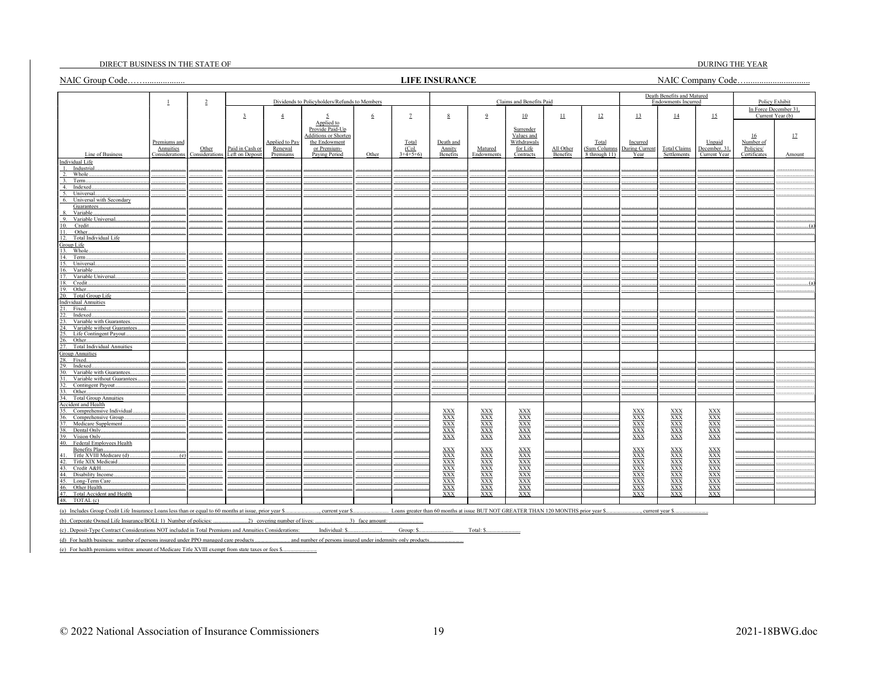#### DIRECT BUSINESS IN THE STATE OF THE STATE OF

#### **LIFE INSURANCE**

**DURING THE YEAR** 

|                                                                                                        |                             |                         |                                    |                                                                              |                                                          |                          |                    |                                                                                                                                                                                           |                                                       |                                         |                                                                                     |                               |                                         | Death Benefits and Matured              |                                 |                           |                                         |
|--------------------------------------------------------------------------------------------------------|-----------------------------|-------------------------|------------------------------------|------------------------------------------------------------------------------|----------------------------------------------------------|--------------------------|--------------------|-------------------------------------------------------------------------------------------------------------------------------------------------------------------------------------------|-------------------------------------------------------|-----------------------------------------|-------------------------------------------------------------------------------------|-------------------------------|-----------------------------------------|-----------------------------------------|---------------------------------|---------------------------|-----------------------------------------|
|                                                                                                        | $\perp$                     | $\overline{2}$          |                                    |                                                                              | Dividends to Policyholders/Refunds to Members            |                          |                    |                                                                                                                                                                                           |                                                       | Claims and Benefits Paid                |                                                                                     |                               |                                         | <b>Endowments Incurred</b>              |                                 |                           | Policy Exhibit<br>In Force December 31, |
|                                                                                                        |                             |                         | $\overline{3}$                     | $\overline{4}$                                                               | 5<br>Applied to                                          | $6\phantom{.}6$          | $\mathbf{Z}$       | 8                                                                                                                                                                                         | 9                                                     | 10                                      | $\perp$                                                                             | 12                            | $\overline{13}$                         | $\overline{14}$                         | 15                              |                           | Current Year (b)                        |
|                                                                                                        | Premiums and                |                         |                                    | <b>Applied</b> to Pay                                                        | Provide Paid-Up<br>Additions or Shorten<br>the Endowment |                          | Total              | Death and                                                                                                                                                                                 |                                                       | Surrender<br>Values and<br>Withdrawals  |                                                                                     | Total                         | Incurred                                |                                         | Unpaid                          | 16<br>Number of           | 17                                      |
| Line of Business                                                                                       | Annuities<br>Considerations | Other<br>Considerations | Paid in Cash or<br>Left on Deposit | Renewal<br>Premiums                                                          | or Premium-<br>Paying Period                             | Other                    | (Col.<br>$3+4+5+6$ | Annity<br>Benefits                                                                                                                                                                        | Matured<br>Endowments                                 | for Life<br>Contracts                   | All Other<br>Benefits                                                               | (Sum Columns<br>8 through 11) | During Current<br>Year                  | <b>Total Claims</b><br>Settlements      | December. 31<br>Current Year    | Policies/<br>Certificates | Amount                                  |
| Individual Life                                                                                        |                             |                         |                                    |                                                                              |                                                          |                          |                    |                                                                                                                                                                                           |                                                       |                                         |                                                                                     |                               |                                         |                                         |                                 |                           |                                         |
| Industria<br>Whole.                                                                                    |                             |                         |                                    |                                                                              |                                                          |                          |                    |                                                                                                                                                                                           |                                                       |                                         |                                                                                     |                               |                                         |                                         |                                 |                           |                                         |
| 3.<br>Term.                                                                                            |                             |                         |                                    |                                                                              |                                                          |                          |                    |                                                                                                                                                                                           |                                                       |                                         |                                                                                     |                               |                                         |                                         |                                 |                           |                                         |
| 4. Indexed                                                                                             |                             |                         |                                    |                                                                              |                                                          |                          |                    |                                                                                                                                                                                           |                                                       |                                         |                                                                                     |                               |                                         |                                         |                                 |                           |                                         |
| Universal<br>5.<br>Universal with Secondary<br>6.                                                      |                             |                         |                                    |                                                                              |                                                          |                          |                    |                                                                                                                                                                                           |                                                       |                                         |                                                                                     |                               |                                         |                                         |                                 |                           |                                         |
| Guarantees                                                                                             |                             |                         |                                    |                                                                              |                                                          |                          |                    |                                                                                                                                                                                           |                                                       |                                         |                                                                                     |                               |                                         |                                         |                                 |                           |                                         |
| Variable.<br>9.<br>Variable Universal.                                                                 |                             |                         |                                    |                                                                              |                                                          |                          |                    |                                                                                                                                                                                           |                                                       |                                         |                                                                                     |                               |                                         |                                         |                                 |                           |                                         |
| Credit.<br>$\Omega$                                                                                    |                             |                         |                                    |                                                                              |                                                          |                          |                    |                                                                                                                                                                                           |                                                       |                                         |                                                                                     |                               |                                         |                                         |                                 |                           |                                         |
| Other<br>11                                                                                            |                             |                         |                                    |                                                                              |                                                          |                          |                    |                                                                                                                                                                                           |                                                       |                                         |                                                                                     |                               |                                         |                                         |                                 |                           |                                         |
| 12<br>Total Individual Life                                                                            |                             |                         |                                    |                                                                              |                                                          |                          |                    |                                                                                                                                                                                           |                                                       |                                         |                                                                                     |                               |                                         |                                         |                                 |                           |                                         |
| Group Life                                                                                             |                             |                         |                                    |                                                                              |                                                          |                          |                    |                                                                                                                                                                                           |                                                       |                                         |                                                                                     |                               |                                         |                                         |                                 |                           |                                         |
| 13. Whole                                                                                              |                             |                         |                                    |                                                                              |                                                          |                          |                    |                                                                                                                                                                                           |                                                       |                                         |                                                                                     |                               |                                         |                                         |                                 |                           |                                         |
| 14. Term.                                                                                              |                             |                         |                                    |                                                                              |                                                          |                          |                    |                                                                                                                                                                                           |                                                       |                                         |                                                                                     |                               |                                         |                                         |                                 |                           |                                         |
| 15.<br>Universal                                                                                       |                             |                         |                                    |                                                                              |                                                          |                          |                    |                                                                                                                                                                                           |                                                       |                                         |                                                                                     |                               |                                         |                                         |                                 |                           |                                         |
| 16.<br>Variable<br>17.<br>Variable Universal                                                           |                             |                         |                                    |                                                                              |                                                          |                          |                    |                                                                                                                                                                                           |                                                       |                                         |                                                                                     |                               |                                         |                                         |                                 |                           |                                         |
| 18.<br>Credit.                                                                                         |                             |                         |                                    |                                                                              |                                                          |                          |                    |                                                                                                                                                                                           |                                                       |                                         |                                                                                     |                               |                                         |                                         |                                 |                           |                                         |
| 19. Other                                                                                              |                             |                         |                                    |                                                                              |                                                          |                          |                    |                                                                                                                                                                                           |                                                       |                                         |                                                                                     |                               |                                         |                                         |                                 |                           |                                         |
| Total Group Life<br>20.                                                                                |                             |                         |                                    |                                                                              |                                                          |                          |                    |                                                                                                                                                                                           |                                                       |                                         |                                                                                     |                               |                                         |                                         |                                 |                           |                                         |
| <b>Individual Annuities</b>                                                                            |                             |                         |                                    |                                                                              |                                                          |                          |                    |                                                                                                                                                                                           |                                                       |                                         |                                                                                     |                               |                                         |                                         |                                 |                           |                                         |
| 21.<br>Fixed                                                                                           |                             |                         |                                    |                                                                              |                                                          |                          |                    |                                                                                                                                                                                           |                                                       |                                         |                                                                                     |                               |                                         |                                         |                                 |                           |                                         |
| 22.<br>Indexed.<br>Variable with Guarantees<br>23.                                                     |                             |                         |                                    |                                                                              |                                                          |                          |                    |                                                                                                                                                                                           |                                                       |                                         |                                                                                     |                               |                                         |                                         |                                 |                           |                                         |
| 24.<br>Variable without Guarantees.                                                                    |                             |                         |                                    |                                                                              |                                                          |                          |                    |                                                                                                                                                                                           |                                                       |                                         |                                                                                     |                               |                                         |                                         |                                 |                           |                                         |
| 25.<br>Life Contingent Payout                                                                          |                             |                         |                                    |                                                                              |                                                          |                          |                    |                                                                                                                                                                                           |                                                       |                                         |                                                                                     |                               |                                         |                                         |                                 |                           |                                         |
| 26.<br>Other                                                                                           |                             |                         |                                    |                                                                              |                                                          |                          |                    |                                                                                                                                                                                           |                                                       |                                         |                                                                                     |                               |                                         |                                         |                                 |                           |                                         |
| 27.<br>Total Individual Annuities                                                                      |                             |                         |                                    |                                                                              |                                                          |                          |                    |                                                                                                                                                                                           |                                                       |                                         |                                                                                     |                               |                                         |                                         |                                 |                           |                                         |
| <b>Group Annuities</b>                                                                                 |                             |                         |                                    |                                                                              |                                                          |                          |                    |                                                                                                                                                                                           |                                                       |                                         |                                                                                     |                               |                                         |                                         |                                 |                           |                                         |
| 28. Fixed<br>29.<br>Indexed.                                                                           |                             |                         |                                    |                                                                              |                                                          |                          |                    |                                                                                                                                                                                           |                                                       |                                         |                                                                                     |                               |                                         |                                         |                                 |                           |                                         |
| 30.<br>Variable with Guarantees.                                                                       |                             |                         |                                    |                                                                              |                                                          |                          |                    |                                                                                                                                                                                           |                                                       |                                         |                                                                                     |                               |                                         |                                         |                                 |                           |                                         |
| Variable without Guarantees.<br>31.                                                                    |                             |                         |                                    |                                                                              |                                                          |                          |                    |                                                                                                                                                                                           |                                                       |                                         |                                                                                     |                               |                                         |                                         |                                 |                           |                                         |
| Contingent Payout<br>32.                                                                               |                             |                         |                                    |                                                                              |                                                          |                          |                    |                                                                                                                                                                                           |                                                       |                                         |                                                                                     |                               |                                         |                                         |                                 |                           |                                         |
| Other<br>33.                                                                                           |                             |                         |                                    |                                                                              |                                                          |                          |                    |                                                                                                                                                                                           |                                                       |                                         |                                                                                     |                               |                                         |                                         |                                 |                           |                                         |
| 34. Total Group Annuities                                                                              |                             |                         |                                    |                                                                              |                                                          |                          |                    |                                                                                                                                                                                           |                                                       |                                         |                                                                                     |                               |                                         |                                         |                                 |                           |                                         |
| <b>Accident and Health</b>                                                                             |                             |                         |                                    |                                                                              |                                                          |                          |                    |                                                                                                                                                                                           |                                                       |                                         |                                                                                     |                               |                                         |                                         |                                 |                           |                                         |
| 35. Comprehensive Individual<br>36. Comprehensive Group.                                               |                             |                         |                                    |                                                                              |                                                          |                          |                    |                                                                                                                                                                                           | $\frac{\text{XXX}}{\text{XXX}}$                       | $\frac{\text{XXX}}{\text{XXX}}$         |                                                                                     |                               | $\frac{\text{XXX}}{\text{XXX}}$         | $\frac{\text{XXX}}{\text{XXX}}$         | $\frac{\text{XXX}}{\text{XXX}}$ |                           |                                         |
| Medicare Supplement<br>37                                                                              |                             |                         |                                    |                                                                              |                                                          |                          |                    |                                                                                                                                                                                           |                                                       |                                         |                                                                                     |                               |                                         |                                         |                                 |                           |                                         |
| 38<br>Dental Only.                                                                                     |                             |                         |                                    |                                                                              |                                                          |                          |                    |                                                                                                                                                                                           |                                                       |                                         |                                                                                     |                               |                                         |                                         |                                 |                           |                                         |
| 39.<br>Vision Only.                                                                                    |                             |                         |                                    |                                                                              |                                                          |                          |                    | $\begin{array}{l}\underline{\text{XXX}} \\ \underline{\text{XXX}} \\ \underline{\text{XXX}} \\ \underline{\text{XXX}} \\ \underline{\text{XXX}} \\ \underline{\text{XXX}} \\ \end{array}$ | $\frac{\overline{XXX}}{\overline{XXX}}$               | $\frac{\overline{XXX}}{\overline{XXX}}$ |                                                                                     |                               | $\frac{XXX}{XXX}$                       | $\frac{\overline{XXX}}{\overline{XXX}}$ | $\frac{XXX}{XXX}$               |                           |                                         |
| 40. Federal Employees Health                                                                           |                             |                         |                                    |                                                                              |                                                          |                          |                    |                                                                                                                                                                                           |                                                       |                                         |                                                                                     |                               |                                         |                                         |                                 |                           |                                         |
| Benefits Plan.                                                                                         |                             |                         |                                    |                                                                              |                                                          |                          |                    | $\frac{XXX}{XXX}$                                                                                                                                                                         | $\frac{XXX}{XXX}$                                     | $\frac{XXX}{XXX}$                       |                                                                                     |                               | $\frac{XXX}{XXX}$                       | $\frac{XXX}{XXX}$                       | $\frac{XXX}{XXX}$               |                           |                                         |
| Title XVIII Medicare (d)<br>Title XIX Medicaid<br>42.                                                  | (e)                         |                         |                                    |                                                                              |                                                          |                          |                    |                                                                                                                                                                                           |                                                       |                                         |                                                                                     |                               |                                         |                                         |                                 |                           |                                         |
| Credit A&H<br>43.                                                                                      |                             |                         |                                    |                                                                              |                                                          |                          |                    | XXX<br>XXX<br>XXX<br>XXX<br>XXX<br>XXX                                                                                                                                                    | $\frac{\overline{\text{XXX}}}{\overline{\text{XXX}}}$ | XXX<br>XXX<br>XXX<br>XXX<br>XXX<br>XXX  |                                                                                     |                               | $\frac{\overline{XXX}}{\overline{XXX}}$ | $\frac{\overline{XXX}}{\overline{XXX}}$ | XXX<br>XXX<br>XXX<br>XXX<br>XXX |                           |                                         |
| 44.<br>Disability Income.                                                                              |                             |                         |                                    |                                                                              |                                                          |                          |                    |                                                                                                                                                                                           |                                                       |                                         |                                                                                     |                               |                                         |                                         |                                 |                           |                                         |
| Long-Term Care<br>45.                                                                                  |                             |                         |                                    |                                                                              |                                                          |                          |                    |                                                                                                                                                                                           |                                                       |                                         |                                                                                     |                               |                                         |                                         |                                 |                           |                                         |
| 46. Other Health.                                                                                      |                             |                         |                                    |                                                                              |                                                          |                          |                    |                                                                                                                                                                                           | $\frac{XXX}{XXX}$                                     |                                         |                                                                                     |                               | $\frac{\overline{XXX}}{\overline{XXX}}$ | $\frac{XXX}{XXX}$                       |                                 |                           |                                         |
| 47. Total Accident and Health                                                                          |                             |                         |                                    |                                                                              |                                                          |                          |                    | <b>XXX</b>                                                                                                                                                                                | <b>XXX</b>                                            | <b>XXX</b>                              |                                                                                     |                               |                                         | <b>XXX</b>                              | <b>XXX</b>                      |                           |                                         |
| 48.<br>TOTAL (c)                                                                                       |                             |                         |                                    |                                                                              |                                                          |                          |                    |                                                                                                                                                                                           |                                                       |                                         |                                                                                     |                               |                                         |                                         |                                 |                           |                                         |
| (a) Includes Group Credit Life Insurance Loans less than or equal to 60 months at issue, prior year \$ |                             |                         |                                    |                                                                              | , current year \$                                        |                          |                    |                                                                                                                                                                                           |                                                       |                                         | Loans greater than 60 months at issue BUT NOT GREATER THAN 120 MONTHS prior year \$ |                               |                                         | ., current year \$.                     |                                 |                           |                                         |
| (b) Comparis Quared Life Insurance (DOI L.D. Munkan of authority)                                      |                             |                         |                                    | $\mathcal{D}$ and $\mathcal{D}$ are associated as the set of $\mathcal{D}$ . |                                                          | $2\lambda$ for $\lambda$ |                    |                                                                                                                                                                                           |                                                       |                                         |                                                                                     |                               |                                         |                                         |                                 |                           |                                         |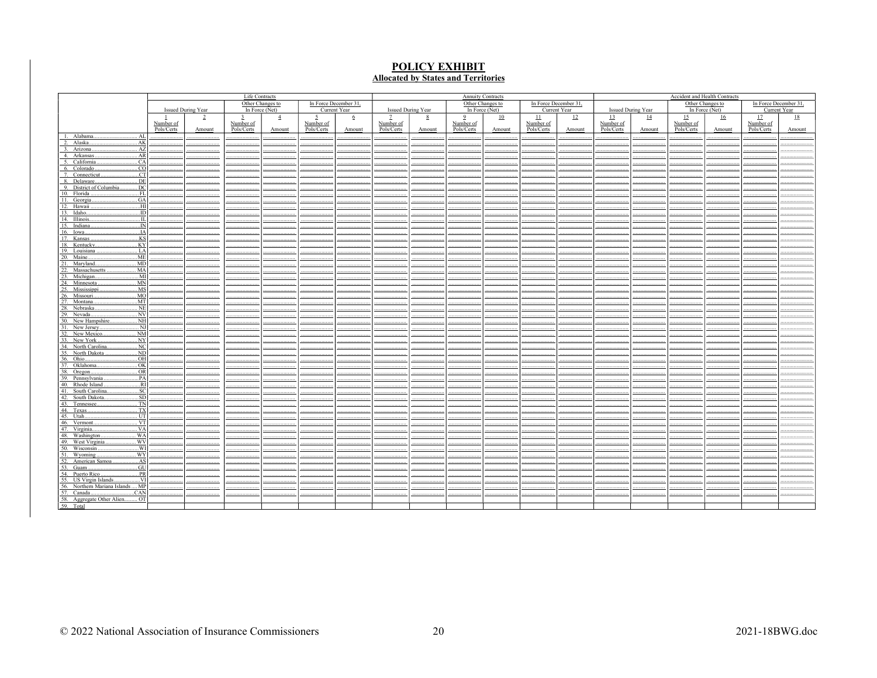# **POLICY EXHIBIT**<br>Allocated by States and Territories

|                                                                    |            |                           | Life Contracts |                  |                |                       |            |                    |                | <b>Annuity Contracts</b> |            |                       |                |                           |            | Accident and Health Contracts |            |                       |
|--------------------------------------------------------------------|------------|---------------------------|----------------|------------------|----------------|-----------------------|------------|--------------------|----------------|--------------------------|------------|-----------------------|----------------|---------------------------|------------|-------------------------------|------------|-----------------------|
|                                                                    |            |                           |                | Other Changes to |                | In Force December 31, |            |                    |                | Other Changes to         |            | In Force December 31, |                |                           |            | Other Changes to              |            | In Force December 31, |
|                                                                    |            | <b>Issued During Year</b> |                | In Force $(Net)$ |                | Current Year          |            | Issued During Year |                | In Force (Net)           |            | Current Year          |                | <b>Issued During Year</b> |            | In Force (Net)                |            | Current Year          |
|                                                                    |            | $\overline{2}$            | 3              | $\overline{4}$   | $\overline{2}$ | $6\overline{6}$       |            | 8                  | $\overline{9}$ | 10                       | $\perp$    | $\mathbf{L}$          | $\frac{13}{2}$ | $\overline{14}$           | 15         | 16                            | 17         | 18                    |
|                                                                    | Number of  |                           | Number of      |                  | Number of      |                       | Number of  |                    | Number of      |                          | Number of  |                       | Number of      |                           | Number of  |                               | Number of  |                       |
|                                                                    | Pols/Certs | Amount                    | Pols/Certs     | Amount           | Pols/Certs     | Amount                | Pols/Certs | Amount             | Pols/Certs     | Amount                   | Pols/Certs | Amount                | Pols/Certs     | Amount                    | Pols/Certs | Amount                        | Pols/Certs | Amount                |
| Alabama.<br>AL<br>-1.                                              |            |                           |                |                  |                |                       |            |                    |                |                          |            |                       |                |                           |            |                               |            |                       |
| Alaska.<br>.AK<br>$\gamma$                                         |            |                           |                |                  |                |                       |            |                    |                |                          |            |                       |                |                           |            |                               |            |                       |
| Arizona.<br>AZ<br>$\mathcal{R}$                                    |            |                           |                |                  |                |                       |            |                    |                |                          |            |                       |                |                           |            |                               |            |                       |
| 4. Arkansas<br>. AR<br>5. California                               |            |                           |                |                  |                |                       |            |                    |                |                          |            |                       |                |                           |            |                               |            |                       |
| CA<br>6. Colorado<br>CO                                            |            |                           |                |                  |                |                       |            |                    |                |                          |            |                       |                |                           |            |                               |            |                       |
| CT<br>7. Connecticut                                               |            |                           |                |                  |                |                       |            |                    |                |                          |            |                       |                |                           |            |                               |            |                       |
| . DE<br>8. Delaware                                                |            |                           |                |                  |                |                       |            |                    |                |                          |            |                       |                |                           |            |                               |            |                       |
| DC<br>9. District of Columbia                                      |            |                           |                |                  |                |                       |            |                    |                |                          |            |                       |                |                           |            |                               |            |                       |
| 10. Florida<br>FL                                                  |            |                           |                |                  |                |                       |            |                    |                |                          |            |                       |                |                           |            |                               |            |                       |
| 11. Georgia<br>. GA                                                |            |                           |                |                  |                |                       |            |                    |                |                          |            |                       |                |                           |            |                               |            |                       |
| 12. Hawaii<br>HI.                                                  |            |                           |                |                  |                |                       |            |                    |                |                          |            |                       |                |                           |            |                               |            |                       |
| 13. Idaho.<br>$\overline{ID}$                                      |            |                           |                |                  |                |                       |            |                    |                |                          |            |                       |                |                           |            |                               |            |                       |
| 14. Illinois.<br>$\overline{\mathbf{H}}$                           |            |                           |                |                  |                |                       |            |                    |                |                          |            |                       |                |                           |            |                               |            |                       |
| 15. Indiana.<br>IN                                                 |            |                           |                |                  |                |                       |            |                    |                |                          |            |                       |                |                           |            |                               |            |                       |
| $\overline{A}$<br>16. Iowa.                                        |            |                           |                |                  |                |                       |            |                    |                |                          |            |                       |                |                           |            |                               |            |                       |
| 17. Kansas.<br>KS<br>.KY                                           |            |                           |                |                  |                |                       |            |                    |                |                          |            |                       |                |                           |            |                               |            |                       |
| 18. Kentucky.                                                      |            |                           |                |                  |                |                       |            |                    |                |                          |            |                       |                |                           |            |                               |            |                       |
| 19. Louisiana<br>. LA                                              |            |                           |                |                  |                |                       |            |                    |                |                          |            |                       |                |                           |            |                               |            |                       |
| .ME<br>20. Maine                                                   |            |                           |                |                  |                |                       |            |                    |                |                          |            |                       |                |                           |            |                               |            |                       |
| Maryland.<br>MD<br>MA<br>21.<br>$\overline{22}$ .<br>Massachusetts |            |                           |                |                  |                |                       |            |                    |                |                          |            |                       |                |                           |            |                               |            |                       |
| 23. Michigan.<br>$$ MI                                             |            |                           |                |                  |                |                       |            |                    |                |                          |            |                       |                |                           |            |                               |            |                       |
| 24. Minnesota<br>. M <sub>N</sub>                                  |            |                           |                |                  |                |                       |            |                    |                |                          |            |                       |                |                           |            |                               |            |                       |
| 25. Mississippi<br>MS                                              |            |                           |                |                  |                |                       |            |                    |                |                          |            |                       |                |                           |            |                               |            |                       |
| . MO<br>26. Missouri.                                              |            |                           |                |                  |                |                       |            |                    |                |                          |            |                       |                |                           |            |                               |            |                       |
| 27. Montana.<br>M                                                  |            |                           |                |                  |                |                       |            |                    |                |                          |            |                       |                |                           |            |                               |            |                       |
| . NE<br>28. Nebraska                                               |            |                           |                |                  |                |                       |            |                    |                |                          |            |                       |                |                           |            |                               |            |                       |
| .NV<br>29. Nevada.                                                 |            |                           |                |                  |                |                       |            |                    |                |                          |            |                       |                |                           |            |                               |            |                       |
| $$ NH<br>30. New Hampshire                                         |            |                           |                |                  |                |                       |            |                    |                |                          |            |                       |                |                           |            |                               |            |                       |
| 31. New Jersey<br>NJ<br>NM                                         |            |                           |                |                  |                |                       |            |                    |                |                          |            |                       |                |                           |            |                               |            |                       |
| $\frac{32. \text{ New Mexico}}{33. \text{ New York}}$              |            |                           |                |                  |                |                       |            |                    |                |                          |            |                       |                |                           |            |                               |            |                       |
| .NY                                                                |            |                           |                |                  |                |                       |            |                    |                |                          |            |                       |                |                           |            |                               |            |                       |
| 34. North Carolina<br>NC                                           |            |                           |                |                  |                |                       |            |                    |                |                          |            |                       |                |                           |            |                               |            |                       |
| $\overline{ND}$<br>35. North Dakota<br>.OH<br>36. Ohio             |            |                           |                |                  |                |                       |            |                    |                |                          |            |                       |                |                           |            |                               |            |                       |
| 37. Oklahoma<br>.0K                                                |            |                           |                |                  |                |                       |            |                    |                |                          |            |                       |                |                           |            |                               |            |                       |
| 38. Oregon.                                                        |            |                           |                |                  |                |                       |            |                    |                |                          |            |                       |                |                           |            |                               |            |                       |
| OR<br>PA<br>39. Pennsylvania.                                      |            |                           |                |                  |                |                       |            |                    |                |                          |            |                       |                |                           |            |                               |            |                       |
| 40. Rhode Island<br>.RI                                            |            |                           |                |                  |                |                       |            |                    |                |                          |            |                       |                |                           |            |                               |            |                       |
| 41. South Carolin                                                  |            |                           |                |                  |                |                       |            |                    |                |                          |            |                       |                |                           |            |                               |            |                       |
| $rac{\text{SC}}{\text{SD}}$<br>42. South Dakota.                   |            |                           |                |                  |                |                       |            |                    |                |                          |            |                       |                |                           |            |                               |            |                       |
| 43. Tennessee.                                                     |            |                           |                |                  |                |                       |            |                    |                |                          |            |                       |                |                           |            |                               |            |                       |
| $rac{\text{TN}}{\text{TX}}$<br>44. Texas                           |            |                           |                |                  |                |                       |            |                    |                |                          |            |                       |                |                           |            |                               |            |                       |
| $\frac{1}{1}$ vt<br>45. Utah                                       |            |                           |                |                  |                |                       |            |                    |                |                          |            |                       |                |                           |            |                               |            |                       |
| 46. Vermont.                                                       |            |                           |                |                  |                |                       |            |                    |                |                          |            |                       |                |                           |            |                               |            |                       |
| . VA<br>47. Virginia.                                              |            |                           |                |                  |                |                       |            |                    |                |                          |            |                       |                |                           |            |                               |            |                       |
| . WA<br>48. Washington.                                            |            |                           |                |                  |                |                       |            |                    |                |                          |            |                       |                |                           |            |                               |            |                       |
| West Virginia.<br>. WV<br>49.                                      |            |                           |                |                  |                |                       |            |                    |                |                          |            |                       |                |                           |            |                               |            |                       |
| WI<br>50. Wisconsin<br>WY                                          |            |                           |                |                  |                |                       |            |                    |                |                          |            |                       |                |                           |            |                               |            |                       |
| 51. Wyoming                                                        |            |                           |                |                  |                |                       |            |                    |                |                          |            |                       |                |                           |            |                               |            |                       |
| .AS<br>.GU                                                         |            |                           |                |                  |                |                       |            |                    |                |                          |            |                       |                |                           |            |                               |            |                       |
| 54. Puerto Rico.<br>PR                                             |            |                           |                |                  |                |                       |            |                    |                |                          |            |                       |                |                           |            |                               |            |                       |
| 55. US Virgin Islands.<br>$$ VI                                    |            |                           |                |                  |                |                       |            |                    |                |                          |            |                       |                |                           |            |                               |            |                       |
| MP<br>56. Northern Mariana Islands                                 |            |                           |                |                  |                |                       |            |                    |                |                          |            |                       |                |                           |            |                               |            |                       |
| 57. Canada.<br>CAN.                                                |            |                           |                |                  |                |                       |            |                    |                |                          |            |                       |                |                           |            |                               |            |                       |
| 58. Aggregate Other Alien<br>$\ldots$ OT                           |            |                           |                |                  |                |                       |            |                    |                |                          |            |                       |                |                           |            |                               |            |                       |
| 59. Total                                                          |            |                           |                |                  |                |                       |            |                    |                |                          |            |                       |                |                           |            |                               |            |                       |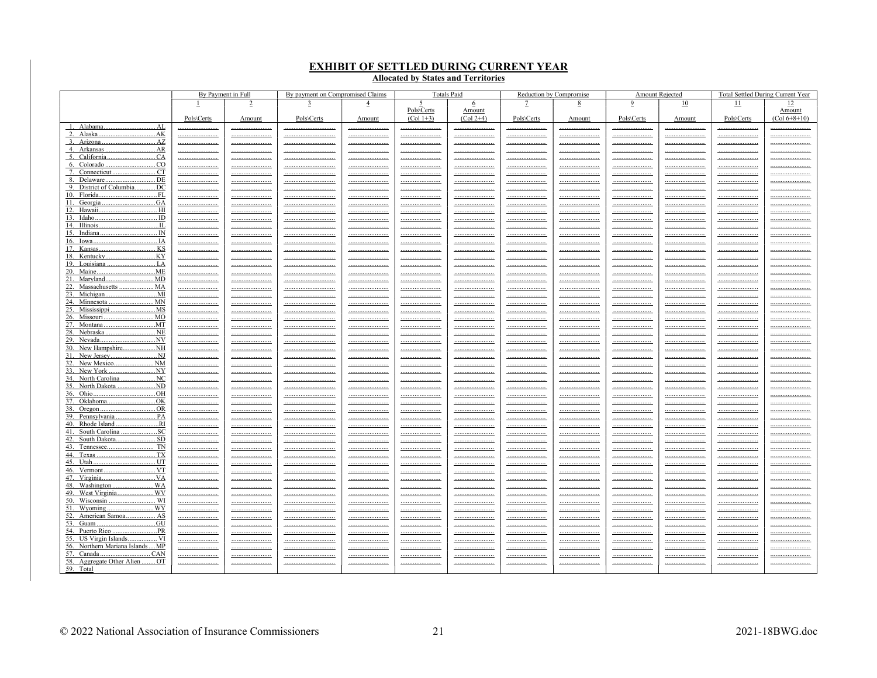# **EXHIBIT OF SETTLED DURING CURRENT YEAR<br>Allocated by States and Territories**

| 9<br>11<br>12<br>4<br>10<br>2<br>5<br>6<br>8<br>Pols\Certs<br>Amount<br>Pols\Certs<br>Pols\Certs<br>$(Col 1+3)$<br>$(Col 2+4)$<br>Pols\Certs<br>Pols\Certs<br>Pols\Certs<br>Amount<br>Amount<br>Amount<br>Amount<br>1. Alabama.<br>. AL<br><br><br><br><br><br><br><br><br><br><br><br>3. Arizona<br>. AZ<br><u></u><br><br><br><u> </u><br><br><u></u><br>_______________________<br><u> </u><br>_______________________<br><u></u><br><u></u><br><br><br>______________________________<br><br><br><br><br><br><br><br><br>.CA<br><br><br><br><br><br><br><br><u></u><br><br><br><br>6. Colorado.<br>.CO<br><u></u><br><u></u><br><u></u><br><u> </u><br><u></u><br><u></u><br><u></u><br><u></u><br><u> </u><br><u></u><br><u></u><br>. CT<br><u></u><br><br><br><br><br><br><br><br><br><br><br>. DE<br>8. Delaware.<br><br><br><br><u></u><br><br><br><br><br><br><br><br>9. District of Columbia.<br>DC<br><u></u><br><u></u><br><br><u> </u><br><u></u><br><u> </u><br><u></u><br><u></u><br><u> </u><br><br><u></u><br><br>10. Florida<br><u>FL</u><br><br><br><u></u><br><u></u><br><u> </u><br><u></u><br><u> </u><br><u>______________________</u><br><u></u><br><u>______________________</u><br><u></u><br><u></u><br>.GA<br>11. Georgia<br><br><u></u><br><br><u></u><br><u></u><br><u> </u><br><u></u><br><u> </u><br><br>12. Hawaii<br>HI<br><br><br><br><br><br><u></u><br><br><br><br><br><br>. ID<br>13. Idaho<br><u></u><br><br><u></u><br><u></u><br><br><br><u></u><br><u></u><br><u></u><br><u></u><br><u></u><br><u></u><br><br><br><br><br><br><br><br><br>IN<br><u></u><br><u></u><br><br><br><br><br><br><br><br><br><u></u><br><u> IA</u><br><u></u><br><br><br><u> </u><br><br><br><br><br><br><br><br><br>______________________________<br><br><br><br><br><br><br><br><br>.KY<br>18. Kentucky<br><u></u><br><u></u><br><br><u></u><br><u></u><br><u></u><br><br><u></u><br>19. Louisiana.<br>. LA<br><br><u></u><br><br><br><u></u><br><br><br><br><br><u></u><br><br>20. Maine<br>ME<br><u></u><br><u></u><br><br><u></u><br><br><u> </u><br><u></u><br><u></u><br><u>_____________________</u><br><br><u></u><br>. MD<br>21. Maryland<br>. | By Payment in Full | By payment on Compromised Claims | <b>Totals Paid</b> | Reduction by Compromise | Amount Rejected | <b>Total Settled During Current Year</b> |
|------------------------------------------------------------------------------------------------------------------------------------------------------------------------------------------------------------------------------------------------------------------------------------------------------------------------------------------------------------------------------------------------------------------------------------------------------------------------------------------------------------------------------------------------------------------------------------------------------------------------------------------------------------------------------------------------------------------------------------------------------------------------------------------------------------------------------------------------------------------------------------------------------------------------------------------------------------------------------------------------------------------------------------------------------------------------------------------------------------------------------------------------------------------------------------------------------------------------------------------------------------------------------------------------------------------------------------------------------------------------------------------------------------------------------------------------------------------------------------------------------------------------------------------------------------------------------------------------------------------------------------------------------------------------------------------------------------------------------------------------------------------------------------------------------------------------------------------------------------------------------------------------------------------------------------------------------------------------------------------------------------------------------------------------------------------------------------------------------------------------------------------------------------------------------|--------------------|----------------------------------|--------------------|-------------------------|-----------------|------------------------------------------|
|                                                                                                                                                                                                                                                                                                                                                                                                                                                                                                                                                                                                                                                                                                                                                                                                                                                                                                                                                                                                                                                                                                                                                                                                                                                                                                                                                                                                                                                                                                                                                                                                                                                                                                                                                                                                                                                                                                                                                                                                                                                                                                                                                                              |                    |                                  |                    |                         |                 |                                          |
|                                                                                                                                                                                                                                                                                                                                                                                                                                                                                                                                                                                                                                                                                                                                                                                                                                                                                                                                                                                                                                                                                                                                                                                                                                                                                                                                                                                                                                                                                                                                                                                                                                                                                                                                                                                                                                                                                                                                                                                                                                                                                                                                                                              |                    |                                  |                    |                         |                 | Amount                                   |
|                                                                                                                                                                                                                                                                                                                                                                                                                                                                                                                                                                                                                                                                                                                                                                                                                                                                                                                                                                                                                                                                                                                                                                                                                                                                                                                                                                                                                                                                                                                                                                                                                                                                                                                                                                                                                                                                                                                                                                                                                                                                                                                                                                              |                    |                                  |                    |                         |                 | $(Col 6+8+10)$                           |
|                                                                                                                                                                                                                                                                                                                                                                                                                                                                                                                                                                                                                                                                                                                                                                                                                                                                                                                                                                                                                                                                                                                                                                                                                                                                                                                                                                                                                                                                                                                                                                                                                                                                                                                                                                                                                                                                                                                                                                                                                                                                                                                                                                              |                    |                                  |                    |                         |                 |                                          |
|                                                                                                                                                                                                                                                                                                                                                                                                                                                                                                                                                                                                                                                                                                                                                                                                                                                                                                                                                                                                                                                                                                                                                                                                                                                                                                                                                                                                                                                                                                                                                                                                                                                                                                                                                                                                                                                                                                                                                                                                                                                                                                                                                                              |                    |                                  |                    |                         |                 |                                          |
|                                                                                                                                                                                                                                                                                                                                                                                                                                                                                                                                                                                                                                                                                                                                                                                                                                                                                                                                                                                                                                                                                                                                                                                                                                                                                                                                                                                                                                                                                                                                                                                                                                                                                                                                                                                                                                                                                                                                                                                                                                                                                                                                                                              |                    |                                  |                    |                         |                 | <u></u>                                  |
|                                                                                                                                                                                                                                                                                                                                                                                                                                                                                                                                                                                                                                                                                                                                                                                                                                                                                                                                                                                                                                                                                                                                                                                                                                                                                                                                                                                                                                                                                                                                                                                                                                                                                                                                                                                                                                                                                                                                                                                                                                                                                                                                                                              |                    |                                  |                    |                         |                 | <u></u>                                  |
|                                                                                                                                                                                                                                                                                                                                                                                                                                                                                                                                                                                                                                                                                                                                                                                                                                                                                                                                                                                                                                                                                                                                                                                                                                                                                                                                                                                                                                                                                                                                                                                                                                                                                                                                                                                                                                                                                                                                                                                                                                                                                                                                                                              |                    |                                  |                    |                         |                 |                                          |
|                                                                                                                                                                                                                                                                                                                                                                                                                                                                                                                                                                                                                                                                                                                                                                                                                                                                                                                                                                                                                                                                                                                                                                                                                                                                                                                                                                                                                                                                                                                                                                                                                                                                                                                                                                                                                                                                                                                                                                                                                                                                                                                                                                              |                    |                                  |                    |                         |                 |                                          |
|                                                                                                                                                                                                                                                                                                                                                                                                                                                                                                                                                                                                                                                                                                                                                                                                                                                                                                                                                                                                                                                                                                                                                                                                                                                                                                                                                                                                                                                                                                                                                                                                                                                                                                                                                                                                                                                                                                                                                                                                                                                                                                                                                                              |                    |                                  |                    |                         |                 | <u></u>                                  |
|                                                                                                                                                                                                                                                                                                                                                                                                                                                                                                                                                                                                                                                                                                                                                                                                                                                                                                                                                                                                                                                                                                                                                                                                                                                                                                                                                                                                                                                                                                                                                                                                                                                                                                                                                                                                                                                                                                                                                                                                                                                                                                                                                                              |                    |                                  |                    |                         |                 | <u></u>                                  |
|                                                                                                                                                                                                                                                                                                                                                                                                                                                                                                                                                                                                                                                                                                                                                                                                                                                                                                                                                                                                                                                                                                                                                                                                                                                                                                                                                                                                                                                                                                                                                                                                                                                                                                                                                                                                                                                                                                                                                                                                                                                                                                                                                                              |                    |                                  |                    |                         |                 |                                          |
|                                                                                                                                                                                                                                                                                                                                                                                                                                                                                                                                                                                                                                                                                                                                                                                                                                                                                                                                                                                                                                                                                                                                                                                                                                                                                                                                                                                                                                                                                                                                                                                                                                                                                                                                                                                                                                                                                                                                                                                                                                                                                                                                                                              |                    |                                  |                    |                         |                 |                                          |
|                                                                                                                                                                                                                                                                                                                                                                                                                                                                                                                                                                                                                                                                                                                                                                                                                                                                                                                                                                                                                                                                                                                                                                                                                                                                                                                                                                                                                                                                                                                                                                                                                                                                                                                                                                                                                                                                                                                                                                                                                                                                                                                                                                              |                    |                                  |                    |                         |                 |                                          |
|                                                                                                                                                                                                                                                                                                                                                                                                                                                                                                                                                                                                                                                                                                                                                                                                                                                                                                                                                                                                                                                                                                                                                                                                                                                                                                                                                                                                                                                                                                                                                                                                                                                                                                                                                                                                                                                                                                                                                                                                                                                                                                                                                                              |                    |                                  |                    |                         |                 | <u></u>                                  |
|                                                                                                                                                                                                                                                                                                                                                                                                                                                                                                                                                                                                                                                                                                                                                                                                                                                                                                                                                                                                                                                                                                                                                                                                                                                                                                                                                                                                                                                                                                                                                                                                                                                                                                                                                                                                                                                                                                                                                                                                                                                                                                                                                                              |                    |                                  |                    |                         |                 | <u></u>                                  |
|                                                                                                                                                                                                                                                                                                                                                                                                                                                                                                                                                                                                                                                                                                                                                                                                                                                                                                                                                                                                                                                                                                                                                                                                                                                                                                                                                                                                                                                                                                                                                                                                                                                                                                                                                                                                                                                                                                                                                                                                                                                                                                                                                                              |                    |                                  |                    |                         |                 |                                          |
|                                                                                                                                                                                                                                                                                                                                                                                                                                                                                                                                                                                                                                                                                                                                                                                                                                                                                                                                                                                                                                                                                                                                                                                                                                                                                                                                                                                                                                                                                                                                                                                                                                                                                                                                                                                                                                                                                                                                                                                                                                                                                                                                                                              |                    |                                  |                    |                         |                 |                                          |
|                                                                                                                                                                                                                                                                                                                                                                                                                                                                                                                                                                                                                                                                                                                                                                                                                                                                                                                                                                                                                                                                                                                                                                                                                                                                                                                                                                                                                                                                                                                                                                                                                                                                                                                                                                                                                                                                                                                                                                                                                                                                                                                                                                              |                    |                                  |                    |                         |                 | <u></u>                                  |
|                                                                                                                                                                                                                                                                                                                                                                                                                                                                                                                                                                                                                                                                                                                                                                                                                                                                                                                                                                                                                                                                                                                                                                                                                                                                                                                                                                                                                                                                                                                                                                                                                                                                                                                                                                                                                                                                                                                                                                                                                                                                                                                                                                              |                    |                                  |                    |                         |                 |                                          |
|                                                                                                                                                                                                                                                                                                                                                                                                                                                                                                                                                                                                                                                                                                                                                                                                                                                                                                                                                                                                                                                                                                                                                                                                                                                                                                                                                                                                                                                                                                                                                                                                                                                                                                                                                                                                                                                                                                                                                                                                                                                                                                                                                                              |                    |                                  |                    |                         |                 |                                          |
|                                                                                                                                                                                                                                                                                                                                                                                                                                                                                                                                                                                                                                                                                                                                                                                                                                                                                                                                                                                                                                                                                                                                                                                                                                                                                                                                                                                                                                                                                                                                                                                                                                                                                                                                                                                                                                                                                                                                                                                                                                                                                                                                                                              |                    |                                  |                    |                         |                 | <u></u>                                  |
| 22. Massachusetts  MA<br><br><br><br><br><br><br><br><br><br>                                                                                                                                                                                                                                                                                                                                                                                                                                                                                                                                                                                                                                                                                                                                                                                                                                                                                                                                                                                                                                                                                                                                                                                                                                                                                                                                                                                                                                                                                                                                                                                                                                                                                                                                                                                                                                                                                                                                                                                                                                                                                                                |                    |                                  |                    |                         |                 |                                          |
| 23. Michigan<br><u>MI</u><br>.<br><u></u><br><br><br><u> </u><br><br><u> </u><br><u></u><br><u></u><br><u></u><br><u> </u><br><u></u>                                                                                                                                                                                                                                                                                                                                                                                                                                                                                                                                                                                                                                                                                                                                                                                                                                                                                                                                                                                                                                                                                                                                                                                                                                                                                                                                                                                                                                                                                                                                                                                                                                                                                                                                                                                                                                                                                                                                                                                                                                        |                    |                                  |                    |                         |                 | <u></u>                                  |
| 24. Minnesota  MN<br><br><br><br><br><br><br><br><br><br>                                                                                                                                                                                                                                                                                                                                                                                                                                                                                                                                                                                                                                                                                                                                                                                                                                                                                                                                                                                                                                                                                                                                                                                                                                                                                                                                                                                                                                                                                                                                                                                                                                                                                                                                                                                                                                                                                                                                                                                                                                                                                                                    |                    |                                  |                    |                         |                 | <u></u>                                  |
| MS<br><br><br><br><br><br><br><br><br><br><br>                                                                                                                                                                                                                                                                                                                                                                                                                                                                                                                                                                                                                                                                                                                                                                                                                                                                                                                                                                                                                                                                                                                                                                                                                                                                                                                                                                                                                                                                                                                                                                                                                                                                                                                                                                                                                                                                                                                                                                                                                                                                                                                               |                    |                                  |                    |                         |                 |                                          |
| 26. Missouri.<br>. MO<br><br><br><br><u> </u><br><br><u> </u><br>________________________<br><u></u><br>_______________________<br><u></u><br><u></u>                                                                                                                                                                                                                                                                                                                                                                                                                                                                                                                                                                                                                                                                                                                                                                                                                                                                                                                                                                                                                                                                                                                                                                                                                                                                                                                                                                                                                                                                                                                                                                                                                                                                                                                                                                                                                                                                                                                                                                                                                        |                    |                                  |                    |                         |                 |                                          |
| 27. Montana<br>MT<br><u></u><br><br>______________________________<br><br><br><br><br><br><br><br>                                                                                                                                                                                                                                                                                                                                                                                                                                                                                                                                                                                                                                                                                                                                                                                                                                                                                                                                                                                                                                                                                                                                                                                                                                                                                                                                                                                                                                                                                                                                                                                                                                                                                                                                                                                                                                                                                                                                                                                                                                                                           |                    |                                  |                    |                         |                 | <u></u>                                  |
| 28. Nebraska<br>.NE<br><br><br><br><u></u><br><br><br><br><u></u><br><u></u><br><br><u></u>                                                                                                                                                                                                                                                                                                                                                                                                                                                                                                                                                                                                                                                                                                                                                                                                                                                                                                                                                                                                                                                                                                                                                                                                                                                                                                                                                                                                                                                                                                                                                                                                                                                                                                                                                                                                                                                                                                                                                                                                                                                                                  |                    |                                  |                    |                         |                 |                                          |
| .NV<br>29. Nevada.<br><br><br><br><u> </u><br><u></u><br><br><u></u><br><br><u> </u><br><br>                                                                                                                                                                                                                                                                                                                                                                                                                                                                                                                                                                                                                                                                                                                                                                                                                                                                                                                                                                                                                                                                                                                                                                                                                                                                                                                                                                                                                                                                                                                                                                                                                                                                                                                                                                                                                                                                                                                                                                                                                                                                                 |                    |                                  |                    |                         |                 |                                          |
| <u></u><br><u></u><br><u></u><br><u></u><br><u></u><br><br><br><u></u><br><u></u><br><br><u></u>                                                                                                                                                                                                                                                                                                                                                                                                                                                                                                                                                                                                                                                                                                                                                                                                                                                                                                                                                                                                                                                                                                                                                                                                                                                                                                                                                                                                                                                                                                                                                                                                                                                                                                                                                                                                                                                                                                                                                                                                                                                                             |                    |                                  |                    |                         |                 | <u></u>                                  |
| <br><br><br><u></u><br><br><br><br><u></u><br><u></u><br><u></u><br><u></u><br>32. New Mexico<br>. N <sub>M</sub>                                                                                                                                                                                                                                                                                                                                                                                                                                                                                                                                                                                                                                                                                                                                                                                                                                                                                                                                                                                                                                                                                                                                                                                                                                                                                                                                                                                                                                                                                                                                                                                                                                                                                                                                                                                                                                                                                                                                                                                                                                                            |                    |                                  |                    |                         |                 |                                          |
| <br><br><br><br><br><br><br><br><br><br>                                                                                                                                                                                                                                                                                                                                                                                                                                                                                                                                                                                                                                                                                                                                                                                                                                                                                                                                                                                                                                                                                                                                                                                                                                                                                                                                                                                                                                                                                                                                                                                                                                                                                                                                                                                                                                                                                                                                                                                                                                                                                                                                     |                    |                                  |                    |                         |                 |                                          |
| <u></u><br><u></u><br><u></u><br><u></u><br><u></u><br><u></u><br><u>_____________________</u><br><u>____________________</u><br><u></u><br>34. North Carolina  NC                                                                                                                                                                                                                                                                                                                                                                                                                                                                                                                                                                                                                                                                                                                                                                                                                                                                                                                                                                                                                                                                                                                                                                                                                                                                                                                                                                                                                                                                                                                                                                                                                                                                                                                                                                                                                                                                                                                                                                                                           |                    |                                  |                    |                         |                 | <u></u>                                  |
| <u></u><br><br><br><br><u></u><br><br><br><u></u><br><br><u></u><br><br><br><br><br><br><u></u><br><br><br><br><br>                                                                                                                                                                                                                                                                                                                                                                                                                                                                                                                                                                                                                                                                                                                                                                                                                                                                                                                                                                                                                                                                                                                                                                                                                                                                                                                                                                                                                                                                                                                                                                                                                                                                                                                                                                                                                                                                                                                                                                                                                                                          |                    |                                  |                    |                         |                 | <br>                                     |
| .OH<br><u></u><br><br><br><u></u><br><br><u></u><br><u></u><br><u>_____________________</u><br><u></u>                                                                                                                                                                                                                                                                                                                                                                                                                                                                                                                                                                                                                                                                                                                                                                                                                                                                                                                                                                                                                                                                                                                                                                                                                                                                                                                                                                                                                                                                                                                                                                                                                                                                                                                                                                                                                                                                                                                                                                                                                                                                       |                    |                                  |                    |                         |                 | <u></u>                                  |
| <u></u><br><br><br><br><br>                                                                                                                                                                                                                                                                                                                                                                                                                                                                                                                                                                                                                                                                                                                                                                                                                                                                                                                                                                                                                                                                                                                                                                                                                                                                                                                                                                                                                                                                                                                                                                                                                                                                                                                                                                                                                                                                                                                                                                                                                                                                                                                                                  |                    |                                  |                    |                         |                 | <u></u>                                  |
| 38. Oregon.<br>.OR<br><br><u></u><br><u></u><br><u></u><br><br><u></u><br><br><u></u>                                                                                                                                                                                                                                                                                                                                                                                                                                                                                                                                                                                                                                                                                                                                                                                                                                                                                                                                                                                                                                                                                                                                                                                                                                                                                                                                                                                                                                                                                                                                                                                                                                                                                                                                                                                                                                                                                                                                                                                                                                                                                        |                    |                                  |                    |                         |                 | <u></u>                                  |
| <u> PA</u><br><br><u></u><br><u></u><br><u> </u><br><u>______________________</u><br><u> </u><br><br>_______________________<br><u> </u><br><u> </u><br><u></u>                                                                                                                                                                                                                                                                                                                                                                                                                                                                                                                                                                                                                                                                                                                                                                                                                                                                                                                                                                                                                                                                                                                                                                                                                                                                                                                                                                                                                                                                                                                                                                                                                                                                                                                                                                                                                                                                                                                                                                                                              |                    |                                  |                    |                         |                 |                                          |
| 40. Rhode Island<br>RI<br><br><u></u><br><u></u><br><u> </u><br><u> </u><br><u></u><br><u> </u><br><br>_______________________<br><u> </u><br><u> </u>                                                                                                                                                                                                                                                                                                                                                                                                                                                                                                                                                                                                                                                                                                                                                                                                                                                                                                                                                                                                                                                                                                                                                                                                                                                                                                                                                                                                                                                                                                                                                                                                                                                                                                                                                                                                                                                                                                                                                                                                                       |                    |                                  |                    |                         |                 | <u></u>                                  |
| $_{\rm .5C}$<br>41. South Carolina<br><br><br><u></u><br><br><u></u><br><u></u><br><u></u><br><u></u><br><u></u><br><u></u>                                                                                                                                                                                                                                                                                                                                                                                                                                                                                                                                                                                                                                                                                                                                                                                                                                                                                                                                                                                                                                                                                                                                                                                                                                                                                                                                                                                                                                                                                                                                                                                                                                                                                                                                                                                                                                                                                                                                                                                                                                                  |                    |                                  |                    |                         |                 |                                          |
| 42. South Dakota<br>. SD<br><br><br><br><br><br><br><br><br><br><br>                                                                                                                                                                                                                                                                                                                                                                                                                                                                                                                                                                                                                                                                                                                                                                                                                                                                                                                                                                                                                                                                                                                                                                                                                                                                                                                                                                                                                                                                                                                                                                                                                                                                                                                                                                                                                                                                                                                                                                                                                                                                                                         |                    |                                  |                    |                         |                 |                                          |
| <b>TN</b><br><br><u></u><br><u> </u><br><br><u> </u><br><br><u></u><br>_______________________<br><u></u><br><u></u><br><u></u>                                                                                                                                                                                                                                                                                                                                                                                                                                                                                                                                                                                                                                                                                                                                                                                                                                                                                                                                                                                                                                                                                                                                                                                                                                                                                                                                                                                                                                                                                                                                                                                                                                                                                                                                                                                                                                                                                                                                                                                                                                              |                    |                                  |                    |                         |                 | <u></u>                                  |
| <br><br><br><br><br><u></u><br><br><br><br><br>45. Utah<br>UT                                                                                                                                                                                                                                                                                                                                                                                                                                                                                                                                                                                                                                                                                                                                                                                                                                                                                                                                                                                                                                                                                                                                                                                                                                                                                                                                                                                                                                                                                                                                                                                                                                                                                                                                                                                                                                                                                                                                                                                                                                                                                                                |                    |                                  |                    |                         |                 | <u></u>                                  |
| <br><br><br><br><br><br><br><u></u><br><br><br>.VT                                                                                                                                                                                                                                                                                                                                                                                                                                                                                                                                                                                                                                                                                                                                                                                                                                                                                                                                                                                                                                                                                                                                                                                                                                                                                                                                                                                                                                                                                                                                                                                                                                                                                                                                                                                                                                                                                                                                                                                                                                                                                                                           |                    |                                  |                    |                         |                 |                                          |
| <br><u></u><br><br><u> </u><br><br><u> </u><br>_______________________<br><u></u><br>_______________________<br><u> </u><br><u></u><br><br><br><br><br><br><br><br><br><u></u>                                                                                                                                                                                                                                                                                                                                                                                                                                                                                                                                                                                                                                                                                                                                                                                                                                                                                                                                                                                                                                                                                                                                                                                                                                                                                                                                                                                                                                                                                                                                                                                                                                                                                                                                                                                                                                                                                                                                                                                               |                    |                                  |                    |                         |                 | <u></u><br><u></u>                       |
| <br><br><br><br><br><br><br><u></u><br><br>                                                                                                                                                                                                                                                                                                                                                                                                                                                                                                                                                                                                                                                                                                                                                                                                                                                                                                                                                                                                                                                                                                                                                                                                                                                                                                                                                                                                                                                                                                                                                                                                                                                                                                                                                                                                                                                                                                                                                                                                                                                                                                                                  |                    |                                  |                    |                         |                 |                                          |
| 49. West Virginia<br>WV<br><u></u><br><br><br><u> </u><br><br><u></u><br>_______________________<br><u></u><br>_______________________<br><u> </u><br><u></u>                                                                                                                                                                                                                                                                                                                                                                                                                                                                                                                                                                                                                                                                                                                                                                                                                                                                                                                                                                                                                                                                                                                                                                                                                                                                                                                                                                                                                                                                                                                                                                                                                                                                                                                                                                                                                                                                                                                                                                                                                |                    |                                  |                    |                         |                 |                                          |
| . WI<br><u></u><br><br><u></u><br><u></u><br><u></u><br><u></u><br><u> </u><br><u></u><br><u></u><br><u></u><br><u></u>                                                                                                                                                                                                                                                                                                                                                                                                                                                                                                                                                                                                                                                                                                                                                                                                                                                                                                                                                                                                                                                                                                                                                                                                                                                                                                                                                                                                                                                                                                                                                                                                                                                                                                                                                                                                                                                                                                                                                                                                                                                      |                    |                                  |                    |                         |                 | <u></u>                                  |
| <br><br><br><u></u><br><br><br><u></u><br><br><u></u><br><br><u></u>                                                                                                                                                                                                                                                                                                                                                                                                                                                                                                                                                                                                                                                                                                                                                                                                                                                                                                                                                                                                                                                                                                                                                                                                                                                                                                                                                                                                                                                                                                                                                                                                                                                                                                                                                                                                                                                                                                                                                                                                                                                                                                         |                    |                                  |                    |                         |                 |                                          |
| 52. American Samoa AS<br><br><br><br><br><br><br><br><br>                                                                                                                                                                                                                                                                                                                                                                                                                                                                                                                                                                                                                                                                                                                                                                                                                                                                                                                                                                                                                                                                                                                                                                                                                                                                                                                                                                                                                                                                                                                                                                                                                                                                                                                                                                                                                                                                                                                                                                                                                                                                                                                    |                    |                                  |                    |                         |                 |                                          |
| .GU<br><u></u><br><u></u><br><u></u><br><u></u><br><br><br><u></u><br><br><u></u><br><u>_____________________</u>                                                                                                                                                                                                                                                                                                                                                                                                                                                                                                                                                                                                                                                                                                                                                                                                                                                                                                                                                                                                                                                                                                                                                                                                                                                                                                                                                                                                                                                                                                                                                                                                                                                                                                                                                                                                                                                                                                                                                                                                                                                            |                    |                                  |                    |                         |                 | <u></u>                                  |
| <u></u><br><br><br><br><br><br><br><br><br>                                                                                                                                                                                                                                                                                                                                                                                                                                                                                                                                                                                                                                                                                                                                                                                                                                                                                                                                                                                                                                                                                                                                                                                                                                                                                                                                                                                                                                                                                                                                                                                                                                                                                                                                                                                                                                                                                                                                                                                                                                                                                                                                  |                    |                                  |                    |                         |                 |                                          |
| 55. US Virgin Islands<br><u></u> VI<br><u></u><br><br><br><br><br><br><br><br><u></u>                                                                                                                                                                                                                                                                                                                                                                                                                                                                                                                                                                                                                                                                                                                                                                                                                                                                                                                                                                                                                                                                                                                                                                                                                                                                                                                                                                                                                                                                                                                                                                                                                                                                                                                                                                                                                                                                                                                                                                                                                                                                                        |                    |                                  |                    |                         |                 |                                          |
| 56. Northern Mariana IslandsMP<br><br><u></u><br><u></u><br><u></u><br><u> </u><br><u>______________________</u><br><u></u><br><u></u><br><u></u><br><u>_____________________</u><br><u></u><br>57. Canada<br>. CAN                                                                                                                                                                                                                                                                                                                                                                                                                                                                                                                                                                                                                                                                                                                                                                                                                                                                                                                                                                                                                                                                                                                                                                                                                                                                                                                                                                                                                                                                                                                                                                                                                                                                                                                                                                                                                                                                                                                                                          |                    |                                  |                    |                         |                 | <u></u>                                  |
| <u></u><br><u></u><br><br><u></u><br><u></u><br><br><br><u></u><br><br><u></u><br><u></u><br>58. Aggregate Other Alien  OT                                                                                                                                                                                                                                                                                                                                                                                                                                                                                                                                                                                                                                                                                                                                                                                                                                                                                                                                                                                                                                                                                                                                                                                                                                                                                                                                                                                                                                                                                                                                                                                                                                                                                                                                                                                                                                                                                                                                                                                                                                                   |                    |                                  |                    |                         |                 |                                          |
| <br><br><br><br><br><br><u></u><br><u></u><br><u></u><br><br><br>59. Total                                                                                                                                                                                                                                                                                                                                                                                                                                                                                                                                                                                                                                                                                                                                                                                                                                                                                                                                                                                                                                                                                                                                                                                                                                                                                                                                                                                                                                                                                                                                                                                                                                                                                                                                                                                                                                                                                                                                                                                                                                                                                                   |                    |                                  |                    |                         |                 | <u></u>                                  |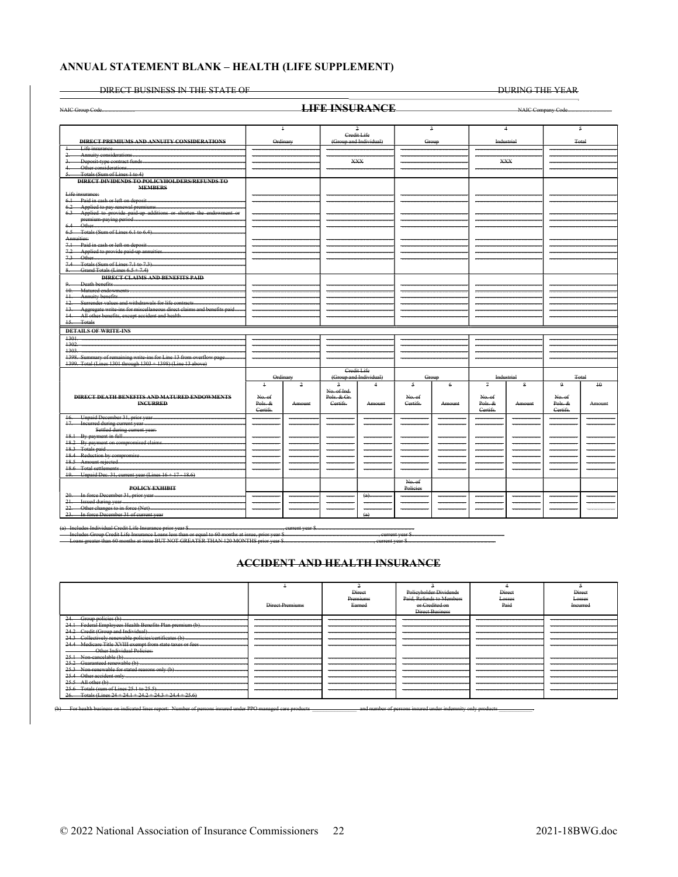#### ANNUAL STATEMENT BLANK - HEALTH (LIFE SUPPLEMENT)

DIRECT BUSINESS IN THE STATE OF

DURING THE YEAR

|                                                                              |            |               | <b>LIFE INSURANCE</b>  |                        |                    |             |                |                |             |                    |
|------------------------------------------------------------------------------|------------|---------------|------------------------|------------------------|--------------------|-------------|----------------|----------------|-------------|--------------------|
|                                                                              |            |               |                        |                        |                    |             |                |                |             |                    |
|                                                                              | $\ddagger$ |               |                        | 2                      | $\overline{a}$     |             |                | $\overline{4}$ |             | $\mathfrak{s}$     |
| <b>DIRECT PREMIUMS AND ANNUITY CONSIDERATIONS</b>                            | Ordinary   |               | Credit Life            | (Group and Individual) | Group              |             | Industrial     |                |             | <b>Total</b>       |
| $\ddagger$<br>Life insurance.                                                |            |               |                        |                        |                    |             |                |                |             |                    |
|                                                                              |            |               |                        |                        |                    |             |                |                |             |                    |
|                                                                              |            |               | <b>XXX</b>             |                        |                    |             |                | <b>XXX</b>     |             |                    |
| Other considerations                                                         |            |               |                        |                        |                    |             |                |                |             |                    |
| Totals (Sum of Lines 1 to 4)                                                 |            |               |                        |                        |                    |             |                |                |             |                    |
| DIRECT DIVIDENDS TO POLICYHOLDERS/REFUNDS TO<br><b>MEMBERS</b>               |            |               |                        |                        |                    |             |                |                |             |                    |
| Life insurance:                                                              |            |               |                        |                        |                    |             |                |                |             |                    |
| 6.1 Paid in eash or left on deposit.                                         |            |               |                        |                        |                    |             |                |                |             |                    |
|                                                                              |            |               |                        |                        |                    |             |                |                |             |                    |
| 6.3 Applied to provide paid-up additions or shorten the endowment or         |            |               |                        |                        |                    |             |                |                |             |                    |
|                                                                              |            |               |                        |                        |                    |             |                |                |             |                    |
| $6.4 -$                                                                      |            |               |                        |                        |                    |             |                |                |             |                    |
|                                                                              |            |               |                        |                        |                    |             |                |                |             |                    |
| Annuities:                                                                   |            |               |                        |                        |                    |             |                |                |             |                    |
| 7.1 Paid in eash or left on deposit                                          |            |               |                        |                        |                    |             |                |                |             |                    |
| 7.2 Applied to provide paid-up annuities.                                    |            |               |                        |                        |                    |             |                |                |             |                    |
|                                                                              |            |               |                        |                        |                    |             |                |                |             |                    |
| 7.4 Totals (Sum of Lines 7.1 to 7.3)<br>8. Grand Totals (Lines $6.5 + 7.4$ ) |            |               |                        |                        |                    |             |                |                |             |                    |
| <b>DIRECT CLAIMS AND BENEFITS PAID</b>                                       |            |               |                        |                        |                    |             |                |                |             |                    |
| $\Omega$                                                                     |            |               |                        |                        |                    |             |                |                |             |                    |
|                                                                              |            |               |                        |                        |                    |             |                |                |             |                    |
|                                                                              |            |               |                        |                        |                    |             |                |                |             |                    |
| 12. Surrender values and withdrawals for life contracts                      |            |               |                        |                        |                    |             |                |                |             |                    |
| 13. Aggregate write-ins for miscellaneous direct claims and benefits paid    |            |               |                        |                        |                    |             |                |                |             |                    |
|                                                                              |            |               |                        |                        |                    |             |                |                |             |                    |
| 15. Totals                                                                   |            |               |                        |                        |                    |             |                |                |             |                    |
| <b>DETAILS OF WRITE-INS</b>                                                  |            |               |                        |                        |                    |             |                |                |             |                    |
|                                                                              |            |               |                        |                        |                    |             |                |                |             |                    |
| 1302                                                                         |            |               |                        |                        |                    |             |                |                |             |                    |
| 1303                                                                         |            |               |                        |                        |                    |             |                |                |             |                    |
| 1398. Summary of remaining write-ins for Line 13 from overflow page          |            |               |                        |                        |                    |             |                |                |             |                    |
| 1399. Total (Lines 1301 through 1303 + 1398) (Line 13 above)                 |            |               |                        |                        |                    |             |                |                |             |                    |
|                                                                              |            |               | Credit Life            |                        |                    |             |                |                |             |                    |
|                                                                              | Ordinary   |               | (Group and Individual) |                        | Group              |             | Industrial     |                |             | <b>Total</b>       |
|                                                                              | $\pm$      | 2             |                        | $\overline{4}$         | 5                  | 6           | $\overline{a}$ | Q              | $\Omega$    | $+0$               |
|                                                                              |            |               | No. of Ind.            |                        |                    |             |                |                |             |                    |
| <b>DIRECT DEATH BENEFITS AND MATURED ENDOWMENTS</b>                          | No. of     |               | Pols. & Gr.            |                        | No. of             |             | No. of         |                | No. of      |                    |
| <b>INCURRED</b>                                                              | Pols. &    | <b>Amount</b> | Certifs.               | Amount                 | Certifs.           | Amount      | Pols. &        | Amount         | Pols. &     | Amount             |
|                                                                              | Certifs.   |               |                        |                        |                    |             | Certifs.       |                | Certifs.    |                    |
|                                                                              |            | <del>.</del>  | <del>.</del>           | <del>.</del>           | <del>.</del>       | <del></del> |                | <del>.</del>   |             | <del>.</del>       |
| 17. Incurred during current year                                             |            |               |                        |                        |                    |             |                |                |             |                    |
| Settled during current year:                                                 |            |               |                        |                        |                    |             |                |                |             |                    |
|                                                                              |            |               | <del></del>            |                        |                    |             |                |                |             |                    |
| 18.2 By payment on compromised claims                                        |            |               | $-$                    |                        |                    |             |                |                | $rac{1}{2}$ |                    |
|                                                                              |            |               | --                     |                        |                    |             | $\sim$         |                |             |                    |
|                                                                              |            |               |                        |                        |                    |             |                |                |             |                    |
|                                                                              |            |               |                        |                        |                    |             |                |                |             |                    |
|                                                                              |            |               |                        |                        |                    |             |                |                |             |                    |
| 19. Unpaid Dec. 31, current year (Lines 16 + 17 - 18.6)                      |            |               |                        |                        |                    |             |                |                |             |                    |
| POLICY EXHIBIT                                                               |            |               |                        |                        | No. of<br>Policies |             |                |                |             |                    |
| 20. In force December 31, prior year                                         |            |               |                        | $(a)$ .                |                    |             |                |                |             |                    |
| 21. Issued during year                                                       |            |               |                        |                        |                    |             |                |                |             |                    |
| 22. Other changes to in force (Net)                                          |            |               |                        |                        |                    |             |                |                |             | ------------------ |
| 23. In force December 31 of current year                                     |            |               |                        | $\leftrightarrow$      |                    |             |                |                |             |                    |

raar eroan err<br>Crodit Life In  $rac{1}{2}$ 

#### **ACCIDENT AND HEALTH INSURANCE**

|                                           |                 | Direct   | Policyholder Dividends   | Direct | Direct   |
|-------------------------------------------|-----------------|----------|--------------------------|--------|----------|
|                                           |                 | Premiums | Paid, Refunds to Members | Losses | Losses   |
|                                           | Direct Premiums | Earned   |                          | Paid   | Ineurree |
|                                           |                 |          | Direct Business          |        |          |
| Group policies (b)<br>-24                 |                 |          |                          |        |          |
|                                           |                 |          |                          |        |          |
| Credit (Group and Individual              |                 |          |                          |        |          |
|                                           |                 |          |                          |        |          |
|                                           |                 |          |                          |        |          |
|                                           |                 |          |                          |        |          |
| <b>Other Individual Policies:</b>         |                 |          |                          |        |          |
| Non-cancelable (b)                        |                 |          |                          |        |          |
| 25.2 Guaranteed renewable (b)             |                 |          |                          |        |          |
|                                           |                 |          |                          |        |          |
|                                           |                 |          |                          |        |          |
|                                           |                 |          |                          |        |          |
|                                           |                 |          |                          |        |          |
| Totals (Lines $24 + 24.1 + 24.2 + 24.3 +$ |                 |          |                          |        |          |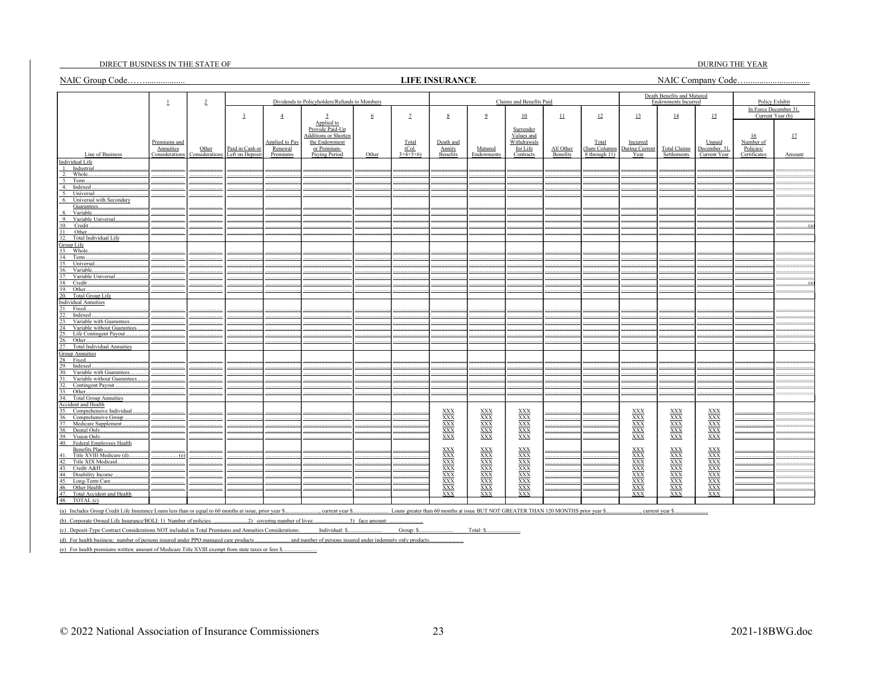#### DIRECT BUSINESS IN THE STATE OF

#### **LIFE INSURANCE**

DURING THE YEAR 

|                                                                                                        |                           |                |                 |                              |                                                |                 |                | <b>LIFE INSURANCE</b>                                                                                                                                                                                               |                                                                                                                                                                                           |                                                                                                                                                                                           |                           |                       |                                                                                                                                                                                           |                                                          |                                         |                        |                  |
|--------------------------------------------------------------------------------------------------------|---------------------------|----------------|-----------------|------------------------------|------------------------------------------------|-----------------|----------------|---------------------------------------------------------------------------------------------------------------------------------------------------------------------------------------------------------------------|-------------------------------------------------------------------------------------------------------------------------------------------------------------------------------------------|-------------------------------------------------------------------------------------------------------------------------------------------------------------------------------------------|---------------------------|-----------------------|-------------------------------------------------------------------------------------------------------------------------------------------------------------------------------------------|----------------------------------------------------------|-----------------------------------------|------------------------|------------------|
|                                                                                                        | $\perp$                   | $\overline{2}$ |                 |                              | Dividends to Policyholders/Refunds to Members  |                 |                |                                                                                                                                                                                                                     |                                                                                                                                                                                           | Claims and Benefits Paid                                                                                                                                                                  |                           |                       |                                                                                                                                                                                           | Death Benefits and Matured<br><b>Endowments Incurred</b> |                                         |                        | Policy Exhibit   |
|                                                                                                        |                           |                |                 |                              |                                                |                 |                |                                                                                                                                                                                                                     |                                                                                                                                                                                           |                                                                                                                                                                                           |                           |                       |                                                                                                                                                                                           |                                                          |                                         | In Force December 31.  | Current Year (b) |
|                                                                                                        |                           |                | $\overline{3}$  | $\overline{4}$               | 5<br>Applied to                                | $6\overline{6}$ | $\overline{1}$ | $8\phantom{.0}$                                                                                                                                                                                                     | $\overline{9}$                                                                                                                                                                            | 10                                                                                                                                                                                        | $\mathbf{\underline{11}}$ | $\overline{12}$       | 13                                                                                                                                                                                        | $\overline{14}$                                          | 15                                      |                        |                  |
|                                                                                                        |                           |                |                 |                              | Provide Paid-Up<br><b>Additions or Shorter</b> |                 |                |                                                                                                                                                                                                                     |                                                                                                                                                                                           | Surrender<br>Values and                                                                                                                                                                   |                           |                       |                                                                                                                                                                                           |                                                          |                                         | 16                     | 17               |
|                                                                                                        | Premiums and<br>Annuities | Other          | Paid in Cash or | Applied to Pay<br>Renewal    | the Endowment<br>or Premium-                   |                 | Total<br>(Col. | Death and<br>Annity                                                                                                                                                                                                 | Matured                                                                                                                                                                                   | Withdrawals<br>for Life                                                                                                                                                                   | All Other                 | Total<br>(Sum Columns | Incurred<br>During Curren                                                                                                                                                                 | <b>Total Claims</b>                                      | Unpaid<br>December. 31                  | Number of<br>Policies/ |                  |
| Line of Business                                                                                       | <b>Considerations</b>     | Consideration: | Left on Deposit | Premiums                     | <b>Paying Period</b>                           | Other           | $3+4+5+6$      | Benefits                                                                                                                                                                                                            | Endowments                                                                                                                                                                                | Contracts                                                                                                                                                                                 | Benefits                  | 8 through 11)         | Year                                                                                                                                                                                      | Settlements                                              | Current Year                            | Certificates           | Amount           |
| Individual Life<br>Industrial                                                                          |                           |                |                 |                              |                                                |                 |                |                                                                                                                                                                                                                     |                                                                                                                                                                                           |                                                                                                                                                                                           |                           |                       |                                                                                                                                                                                           |                                                          |                                         |                        |                  |
| $\overline{2}$ .<br>Whole.                                                                             |                           |                |                 |                              |                                                |                 |                |                                                                                                                                                                                                                     |                                                                                                                                                                                           |                                                                                                                                                                                           |                           |                       |                                                                                                                                                                                           |                                                          |                                         |                        |                  |
| 3.<br>Term.                                                                                            |                           |                |                 |                              |                                                |                 |                |                                                                                                                                                                                                                     |                                                                                                                                                                                           |                                                                                                                                                                                           |                           |                       |                                                                                                                                                                                           |                                                          |                                         |                        |                  |
| Indexed<br>4.                                                                                          |                           |                |                 |                              |                                                |                 |                |                                                                                                                                                                                                                     |                                                                                                                                                                                           |                                                                                                                                                                                           |                           |                       |                                                                                                                                                                                           |                                                          |                                         |                        |                  |
| Universal                                                                                              |                           |                |                 |                              |                                                |                 |                |                                                                                                                                                                                                                     |                                                                                                                                                                                           |                                                                                                                                                                                           |                           |                       |                                                                                                                                                                                           |                                                          |                                         |                        |                  |
| Universal with Secondary<br>6.                                                                         |                           |                |                 |                              |                                                |                 |                |                                                                                                                                                                                                                     |                                                                                                                                                                                           |                                                                                                                                                                                           |                           |                       |                                                                                                                                                                                           |                                                          |                                         |                        |                  |
| Guarantees                                                                                             |                           |                |                 |                              |                                                |                 |                |                                                                                                                                                                                                                     |                                                                                                                                                                                           |                                                                                                                                                                                           |                           |                       |                                                                                                                                                                                           |                                                          |                                         |                        |                  |
| Variable.<br>9.<br>Variable Universal.                                                                 |                           |                |                 |                              |                                                |                 |                |                                                                                                                                                                                                                     |                                                                                                                                                                                           |                                                                                                                                                                                           |                           |                       |                                                                                                                                                                                           |                                                          |                                         |                        |                  |
| Credit.<br>10.                                                                                         |                           |                |                 |                              |                                                |                 |                |                                                                                                                                                                                                                     |                                                                                                                                                                                           |                                                                                                                                                                                           |                           |                       |                                                                                                                                                                                           |                                                          |                                         |                        |                  |
| Other                                                                                                  |                           |                |                 |                              |                                                |                 |                |                                                                                                                                                                                                                     |                                                                                                                                                                                           |                                                                                                                                                                                           |                           |                       |                                                                                                                                                                                           |                                                          |                                         |                        |                  |
| 12.<br>Total Individual Life                                                                           |                           |                |                 |                              |                                                |                 |                |                                                                                                                                                                                                                     |                                                                                                                                                                                           |                                                                                                                                                                                           |                           |                       |                                                                                                                                                                                           |                                                          |                                         |                        |                  |
| Group Life                                                                                             |                           |                |                 |                              |                                                |                 |                |                                                                                                                                                                                                                     |                                                                                                                                                                                           |                                                                                                                                                                                           |                           |                       |                                                                                                                                                                                           |                                                          |                                         |                        |                  |
| 13. Whole.                                                                                             |                           |                |                 |                              |                                                |                 |                |                                                                                                                                                                                                                     |                                                                                                                                                                                           |                                                                                                                                                                                           |                           |                       |                                                                                                                                                                                           |                                                          |                                         |                        |                  |
| 14.<br>Term                                                                                            |                           |                |                 |                              |                                                |                 |                |                                                                                                                                                                                                                     |                                                                                                                                                                                           |                                                                                                                                                                                           |                           |                       |                                                                                                                                                                                           |                                                          |                                         |                        |                  |
| 15.<br>Universal.                                                                                      |                           |                |                 |                              |                                                |                 |                |                                                                                                                                                                                                                     |                                                                                                                                                                                           |                                                                                                                                                                                           |                           |                       |                                                                                                                                                                                           |                                                          |                                         |                        |                  |
| 16.<br>Variable.<br>17.<br>Variable Universal                                                          |                           |                |                 |                              |                                                |                 |                |                                                                                                                                                                                                                     |                                                                                                                                                                                           |                                                                                                                                                                                           |                           |                       |                                                                                                                                                                                           |                                                          |                                         |                        |                  |
| 18.<br>Credit.                                                                                         |                           |                |                 |                              |                                                |                 |                |                                                                                                                                                                                                                     |                                                                                                                                                                                           |                                                                                                                                                                                           |                           |                       |                                                                                                                                                                                           |                                                          |                                         |                        |                  |
| 19.<br>Other.                                                                                          |                           |                |                 |                              |                                                |                 |                |                                                                                                                                                                                                                     |                                                                                                                                                                                           |                                                                                                                                                                                           |                           |                       |                                                                                                                                                                                           |                                                          |                                         |                        |                  |
| 20.<br>Total Group Life                                                                                |                           |                |                 |                              |                                                |                 |                |                                                                                                                                                                                                                     |                                                                                                                                                                                           |                                                                                                                                                                                           |                           |                       |                                                                                                                                                                                           |                                                          |                                         |                        |                  |
| individual Annuities                                                                                   |                           |                |                 |                              |                                                |                 |                |                                                                                                                                                                                                                     |                                                                                                                                                                                           |                                                                                                                                                                                           |                           |                       |                                                                                                                                                                                           |                                                          |                                         |                        |                  |
| Ħ.<br>Fixed                                                                                            |                           |                |                 |                              |                                                |                 |                |                                                                                                                                                                                                                     |                                                                                                                                                                                           |                                                                                                                                                                                           |                           |                       |                                                                                                                                                                                           |                                                          |                                         |                        |                  |
| 22.<br>Indexed                                                                                         |                           |                |                 |                              |                                                |                 |                |                                                                                                                                                                                                                     |                                                                                                                                                                                           |                                                                                                                                                                                           |                           |                       |                                                                                                                                                                                           |                                                          |                                         |                        |                  |
| 23.<br>Variable with Guarantees.                                                                       |                           |                |                 |                              |                                                |                 |                |                                                                                                                                                                                                                     |                                                                                                                                                                                           |                                                                                                                                                                                           |                           |                       |                                                                                                                                                                                           |                                                          |                                         |                        |                  |
| Variable without Guarantees.<br>24.<br>Life Contingent Payout.<br>25.                                  |                           |                |                 |                              |                                                |                 |                |                                                                                                                                                                                                                     |                                                                                                                                                                                           |                                                                                                                                                                                           |                           |                       |                                                                                                                                                                                           |                                                          |                                         |                        |                  |
| Other<br>26.                                                                                           |                           |                |                 |                              |                                                |                 |                |                                                                                                                                                                                                                     |                                                                                                                                                                                           |                                                                                                                                                                                           |                           |                       |                                                                                                                                                                                           |                                                          |                                         |                        |                  |
| <b>Total Individual Annuities</b><br>27.                                                               |                           |                |                 |                              |                                                |                 |                |                                                                                                                                                                                                                     |                                                                                                                                                                                           |                                                                                                                                                                                           |                           |                       |                                                                                                                                                                                           |                                                          |                                         |                        |                  |
| <b>Group Annuities</b>                                                                                 |                           |                |                 |                              |                                                |                 |                |                                                                                                                                                                                                                     |                                                                                                                                                                                           |                                                                                                                                                                                           |                           |                       |                                                                                                                                                                                           |                                                          |                                         |                        |                  |
| 28.<br>Fixed.                                                                                          |                           |                |                 |                              |                                                |                 |                |                                                                                                                                                                                                                     |                                                                                                                                                                                           |                                                                                                                                                                                           |                           |                       |                                                                                                                                                                                           |                                                          |                                         |                        |                  |
| 29.<br>Indexed                                                                                         |                           |                |                 |                              |                                                |                 |                |                                                                                                                                                                                                                     |                                                                                                                                                                                           |                                                                                                                                                                                           |                           |                       |                                                                                                                                                                                           |                                                          |                                         |                        |                  |
| 30.<br>Variable with Guarantees                                                                        |                           |                |                 |                              |                                                |                 |                |                                                                                                                                                                                                                     |                                                                                                                                                                                           |                                                                                                                                                                                           |                           |                       |                                                                                                                                                                                           |                                                          |                                         |                        |                  |
| Variable without Guarantees.<br>31.                                                                    |                           |                |                 |                              |                                                |                 |                |                                                                                                                                                                                                                     |                                                                                                                                                                                           |                                                                                                                                                                                           |                           |                       |                                                                                                                                                                                           |                                                          |                                         |                        |                  |
| Contingent Payout<br>32.                                                                               |                           |                |                 |                              |                                                |                 |                |                                                                                                                                                                                                                     |                                                                                                                                                                                           |                                                                                                                                                                                           |                           |                       |                                                                                                                                                                                           |                                                          |                                         |                        |                  |
| Other<br>33.                                                                                           |                           |                |                 |                              |                                                |                 |                |                                                                                                                                                                                                                     |                                                                                                                                                                                           |                                                                                                                                                                                           |                           |                       |                                                                                                                                                                                           |                                                          |                                         |                        |                  |
| 34. Total Group Annuities<br>Accident and Health                                                       |                           |                |                 |                              |                                                |                 |                |                                                                                                                                                                                                                     |                                                                                                                                                                                           |                                                                                                                                                                                           |                           |                       |                                                                                                                                                                                           |                                                          |                                         |                        |                  |
| 35. Comprehensive Individual                                                                           |                           |                |                 |                              |                                                |                 |                |                                                                                                                                                                                                                     |                                                                                                                                                                                           |                                                                                                                                                                                           |                           |                       |                                                                                                                                                                                           |                                                          |                                         |                        |                  |
| Comprehensive Group.<br>36.                                                                            |                           |                |                 |                              |                                                |                 |                |                                                                                                                                                                                                                     |                                                                                                                                                                                           |                                                                                                                                                                                           |                           |                       |                                                                                                                                                                                           |                                                          |                                         |                        |                  |
| 37.<br>Medicare Supplement                                                                             |                           |                |                 |                              |                                                |                 |                | $\begin{array}{l}\underline{\text{XXX}} \\ \underline{\text{XXX}} \\ \underline{\text{XXX}} \\ \underline{\text{XXX}} \\ \underline{\text{XXX}} \\ \underline{\text{XXX}} \\ \underline{\text{XXX}} \\ \end{array}$ | $\begin{array}{l}\underline{\text{XXX}} \\ \underline{\text{XXX}} \\ \underline{\text{XXX}} \\ \underline{\text{XXX}} \\ \underline{\text{XXX}} \\ \underline{\text{XXX}} \\ \end{array}$ | $\begin{array}{l}\underline{\text{XXX}} \\ \underline{\text{XXX}} \\ \underline{\text{XXX}} \\ \underline{\text{XXX}} \\ \underline{\text{XXX}} \\ \underline{\text{XXX}} \\ \end{array}$ |                           |                       | $\begin{array}{l}\underline{\text{XXX}} \\ \underline{\text{XXX}} \\ \underline{\text{XXX}} \\ \underline{\text{XXX}} \\ \underline{\text{XXX}} \\ \underline{\text{XXX}} \\ \end{array}$ | $\frac{\text{XXX}}{\text{XXX}}$                          | $\frac{\text{XXX}}{\text{XXX}}$         |                        |                  |
| 38.<br>Dental Only.                                                                                    |                           |                |                 |                              |                                                |                 |                |                                                                                                                                                                                                                     |                                                                                                                                                                                           |                                                                                                                                                                                           |                           |                       |                                                                                                                                                                                           | $\frac{XXX}{XXX}$                                        | $\overline{XXX}$                        |                        |                  |
| Vision Only<br>39.                                                                                     |                           |                |                 |                              |                                                |                 |                |                                                                                                                                                                                                                     |                                                                                                                                                                                           |                                                                                                                                                                                           |                           |                       |                                                                                                                                                                                           |                                                          | <b>XXX</b>                              |                        |                  |
| Federal Employees Health<br>40.                                                                        |                           |                |                 |                              |                                                |                 |                |                                                                                                                                                                                                                     |                                                                                                                                                                                           |                                                                                                                                                                                           |                           |                       |                                                                                                                                                                                           |                                                          |                                         |                        |                  |
| Benefits Plan.<br>Title XVIII Medicare (d).                                                            | (c)                       |                |                 |                              |                                                |                 |                | XXX<br>XXX<br>XXX<br>XXX<br>XXX<br>XXX<br>XXX<br>XXX<br>XXX                                                                                                                                                         | $\frac{XXX}{XXX}$                                                                                                                                                                         | XXX<br>XXX<br>XXX<br>XXX<br>XXX<br>XXX<br>XXX<br>XXX<br>XXX                                                                                                                               |                           |                       | $\frac{XXX}{XXX}$                                                                                                                                                                         | $\frac{\text{XXX}}{\text{XXX}}$                          | $\frac{XXX}{XXX}$                       |                        |                  |
| 42.<br>Title XIX Medicaid                                                                              |                           |                |                 |                              |                                                |                 |                |                                                                                                                                                                                                                     |                                                                                                                                                                                           |                                                                                                                                                                                           |                           |                       | <b>XXX</b>                                                                                                                                                                                |                                                          |                                         |                        |                  |
| Credit A&H<br>43.                                                                                      |                           |                |                 |                              |                                                |                 |                |                                                                                                                                                                                                                     | XXX<br>XXX<br>XXX<br>XXX                                                                                                                                                                  |                                                                                                                                                                                           |                           |                       |                                                                                                                                                                                           | $\frac{\overline{XXX}}{\overline{XXX}}$                  | $\frac{\overline{XXX}}{\overline{XXX}}$ |                        |                  |
| 44. Disability Income.                                                                                 |                           |                |                 |                              |                                                |                 |                |                                                                                                                                                                                                                     |                                                                                                                                                                                           |                                                                                                                                                                                           |                           |                       | $\frac{XXX}{XXX}$                                                                                                                                                                         |                                                          |                                         |                        |                  |
| 45. Long-Term Care.                                                                                    |                           |                |                 |                              |                                                |                 |                |                                                                                                                                                                                                                     |                                                                                                                                                                                           |                                                                                                                                                                                           |                           |                       | <b>XXX</b>                                                                                                                                                                                | <b>XXX</b>                                               | <b>XXX</b>                              |                        |                  |
| 46. Other Health.                                                                                      |                           |                |                 |                              |                                                |                 |                |                                                                                                                                                                                                                     | XXX                                                                                                                                                                                       |                                                                                                                                                                                           |                           |                       | XXX                                                                                                                                                                                       | <b>XXX</b>                                               | <b>XXX</b>                              |                        |                  |
| 47.<br>Total Accident and Health                                                                       |                           |                |                 |                              |                                                |                 |                |                                                                                                                                                                                                                     | <b>XXX</b>                                                                                                                                                                                |                                                                                                                                                                                           |                           |                       | <b>XXX</b>                                                                                                                                                                                | <b>XXX</b>                                               | <b>XXX</b>                              |                        |                  |
| TOTAL (c)<br>48.                                                                                       |                           |                |                 |                              |                                                |                 |                |                                                                                                                                                                                                                     |                                                                                                                                                                                           |                                                                                                                                                                                           |                           |                       |                                                                                                                                                                                           |                                                          |                                         |                        |                  |
| (a) Includes Group Credit Life Insurance Loans less than or equal to 60 months at issue, prior year \$ |                           |                |                 |                              |                                                |                 |                |                                                                                                                                                                                                                     |                                                                                                                                                                                           |                                                                                                                                                                                           |                           |                       |                                                                                                                                                                                           | , current year \$                                        |                                         |                        |                  |
|                                                                                                        |                           |                |                 |                              |                                                |                 |                |                                                                                                                                                                                                                     |                                                                                                                                                                                           |                                                                                                                                                                                           |                           |                       |                                                                                                                                                                                           |                                                          |                                         |                        |                  |
| (b). Corporate Owned Life Insurance/BOLI: 1) Number of policies: .                                     |                           |                |                 | 2) covering number of lives: |                                                | 3) face amount: |                |                                                                                                                                                                                                                     |                                                                                                                                                                                           |                                                                                                                                                                                           |                           |                       |                                                                                                                                                                                           |                                                          |                                         |                        |                  |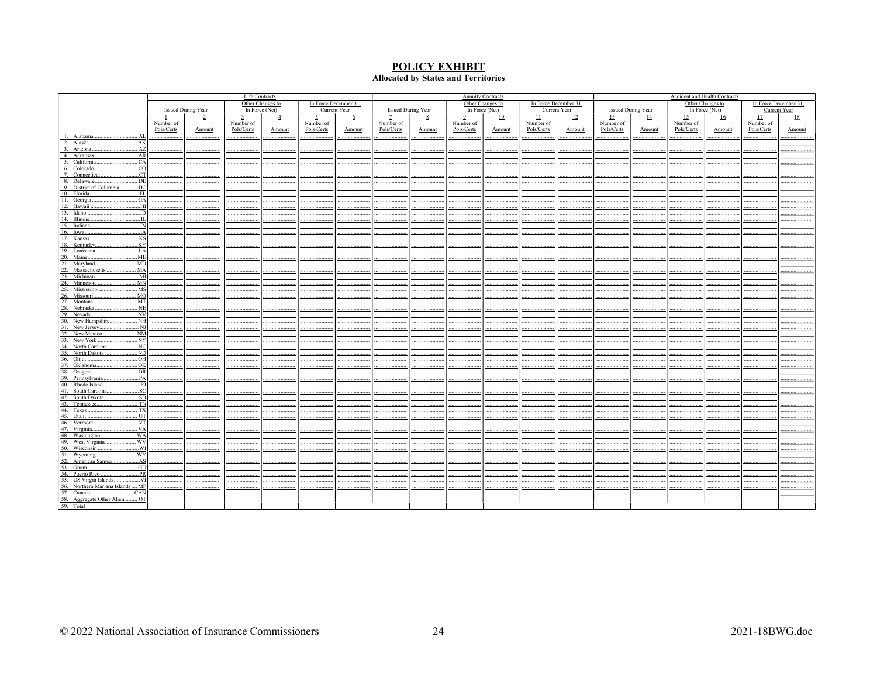# **POLICY EXHIBIT**<br>Allocated by States and Territories

|                                                                       | Life Contracts |                    |            |                  |                |                       |            | <b>Annuity Contracts</b> |                | Accident and Health Contracts |            |                       |                |                           |            |                  |                       |              |
|-----------------------------------------------------------------------|----------------|--------------------|------------|------------------|----------------|-----------------------|------------|--------------------------|----------------|-------------------------------|------------|-----------------------|----------------|---------------------------|------------|------------------|-----------------------|--------------|
|                                                                       |                |                    |            | Other Changes to |                | In Force December 31, |            |                          |                | Other Changes to              |            | In Force December 31, |                |                           |            | Other Changes to | In Force December 31, |              |
|                                                                       |                | Issued During Year |            | In Force $(Net)$ |                | Current Year          |            | Issued During Year       |                | In Force (Net)                |            | Current Year          |                | <b>Issued During Year</b> |            | In Force (Net)   |                       | Current Year |
|                                                                       |                | $\overline{2}$     | 3          | $\overline{4}$   | $\overline{2}$ | $6\overline{6}$       |            | 8                        | $\overline{9}$ | 10                            | $\perp$    | $\mathbf{L}$          | $\frac{13}{2}$ | $\overline{14}$           | 15         | 16               | 17                    | 18           |
|                                                                       | Number of      |                    | Number of  |                  | Number of      |                       | Number of  |                          | Number of      |                               | Number of  |                       | Number of      |                           | Number of  |                  | Number of             |              |
|                                                                       | Pols/Certs     | Amount             | Pols/Certs | Amount           | Pols/Certs     | Amount                | Pols/Certs | Amount                   | Pols/Certs     | Amount                        | Pols/Certs | Amount                | Pols/Certs     | Amount                    | Pols/Certs | Amount           | Pols/Certs            | Amount       |
| Alabama.<br>AL<br>-1.                                                 |                |                    |            |                  |                |                       |            |                          |                |                               |            |                       |                |                           |            |                  |                       |              |
| Alaska.<br>.AK<br>$\gamma$                                            |                |                    |            |                  |                |                       |            |                          |                |                               |            |                       |                |                           |            |                  |                       |              |
| Arizona.<br>AZ<br>$\mathcal{R}$                                       |                |                    |            |                  |                |                       |            |                          |                |                               |            |                       |                |                           |            |                  |                       |              |
| 4. Arkansas<br>. AR                                                   |                |                    |            |                  |                |                       |            |                          |                |                               |            |                       |                |                           |            |                  |                       |              |
| 5. California<br>CA<br>6. Colorado<br>CO                              |                |                    |            |                  |                |                       |            |                          |                |                               |            |                       |                |                           |            |                  |                       |              |
| CT<br>7. Connecticut                                                  |                |                    |            |                  |                |                       |            |                          |                |                               |            |                       |                |                           |            |                  |                       |              |
| . DE<br>8. Delaware                                                   |                |                    |            |                  |                |                       |            |                          |                |                               |            |                       |                |                           |            |                  |                       |              |
| DC<br>9. District of Columbia                                         |                |                    |            |                  |                |                       |            |                          |                |                               |            |                       |                |                           |            |                  |                       |              |
| 10. Florida<br>FL                                                     |                |                    |            |                  |                |                       |            |                          |                |                               |            |                       |                |                           |            |                  |                       |              |
| 11. Georgia<br>. GA                                                   |                |                    |            |                  |                |                       |            |                          |                |                               |            |                       |                |                           |            |                  |                       |              |
| 12. Hawaii<br>HI.                                                     |                |                    |            |                  |                |                       |            |                          |                |                               |            |                       |                |                           |            |                  |                       |              |
| 13. Idaho.<br>$\overline{ID}$                                         |                |                    |            |                  |                |                       |            |                          |                |                               |            |                       |                |                           |            |                  |                       |              |
| 14. Illinois.<br>$\overline{\mathbf{H}}$                              |                |                    |            |                  |                |                       |            |                          |                |                               |            |                       |                |                           |            |                  |                       |              |
| 15. Indiana.<br>IN                                                    |                |                    |            |                  |                |                       |            |                          |                |                               |            |                       |                |                           |            |                  |                       |              |
| $\overline{A}$<br>16. Iowa.                                           |                |                    |            |                  |                |                       |            |                          |                |                               |            |                       |                |                           |            |                  |                       |              |
| 17. Kansas.<br>KS<br>.KY                                              |                |                    |            |                  |                |                       |            |                          |                |                               |            |                       |                |                           |            |                  |                       |              |
| 18. Kentucky.                                                         |                |                    |            |                  |                |                       |            |                          |                |                               |            |                       |                |                           |            |                  |                       |              |
| 19. Louisiana<br>. LA                                                 |                |                    |            |                  |                |                       |            |                          |                |                               |            |                       |                |                           |            |                  |                       |              |
| .ME<br>20. Maine                                                      |                |                    |            |                  |                |                       |            |                          |                |                               |            |                       |                |                           |            |                  |                       |              |
| Maryland.<br>MD<br>MA<br>21.<br>$\overline{22}$ .                     |                |                    |            |                  |                |                       |            |                          |                |                               |            |                       |                |                           |            |                  |                       |              |
| Massachusetts                                                         |                |                    |            |                  |                |                       |            |                          |                |                               |            |                       |                |                           |            |                  |                       |              |
| 23. Michigan.<br>$$ MI<br>24. Minnesota<br>. M <sub>N</sub>           |                |                    |            |                  |                |                       |            |                          |                |                               |            |                       |                |                           |            |                  |                       |              |
| 25. Mississippi<br>MS                                                 |                |                    |            |                  |                |                       |            |                          |                |                               |            |                       |                |                           |            |                  |                       |              |
| . MO<br>26. Missouri.                                                 |                |                    |            |                  |                |                       |            |                          |                |                               |            |                       |                |                           |            |                  |                       |              |
| 27. Montana.<br>M                                                     |                |                    |            |                  |                |                       |            |                          |                |                               |            |                       |                |                           |            |                  |                       |              |
| . NE<br>28. Nebraska                                                  |                |                    |            |                  |                |                       |            |                          |                |                               |            |                       |                |                           |            |                  |                       |              |
| .NV<br>29. Nevada.                                                    |                |                    |            |                  |                |                       |            |                          |                |                               |            |                       |                |                           |            |                  |                       |              |
| $$ NH<br>30. New Hampshire                                            |                |                    |            |                  |                |                       |            |                          |                |                               |            |                       |                |                           |            |                  |                       |              |
| 31. New Jersey<br>NJ<br>NM                                            |                |                    |            |                  |                |                       |            |                          |                |                               |            |                       |                |                           |            |                  |                       |              |
| $\frac{32. \text{ New Mexico}}{33. \text{ New York}}$                 |                |                    |            |                  |                |                       |            |                          |                |                               |            |                       |                |                           |            |                  |                       |              |
| .NY                                                                   |                |                    |            |                  |                |                       |            |                          |                |                               |            |                       |                |                           |            |                  |                       |              |
| 34. North Carolina<br>NC                                              |                |                    |            |                  |                |                       |            |                          |                |                               |            |                       |                |                           |            |                  |                       |              |
| $\overline{ND}$<br>35. North Dakota                                   |                |                    |            |                  |                |                       |            |                          |                |                               |            |                       |                |                           |            |                  |                       |              |
| .OH<br>36. Ohio                                                       |                |                    |            |                  |                |                       |            |                          |                |                               |            |                       |                |                           |            |                  |                       |              |
| 37. Oklahoma<br>.0K                                                   |                |                    |            |                  |                |                       |            |                          |                |                               |            |                       |                |                           |            |                  |                       |              |
| 38. Oregon.<br>OR<br>PA<br>39. Pennsylvania.                          |                |                    |            |                  |                |                       |            |                          |                |                               |            |                       |                |                           |            |                  |                       |              |
| 40. Rhode Island                                                      |                |                    |            |                  |                |                       |            |                          |                |                               |            |                       |                |                           |            |                  |                       |              |
| .RI<br>41. South Carolin                                              |                |                    |            |                  |                |                       |            |                          |                |                               |            |                       |                |                           |            |                  |                       |              |
| $rac{\text{SC}}{\text{SD}}$<br>42. South Dakota.                      |                |                    |            |                  |                |                       |            |                          |                |                               |            |                       |                |                           |            |                  |                       |              |
| 43. Tennessee.                                                        |                |                    |            |                  |                |                       |            |                          |                |                               |            |                       |                |                           |            |                  |                       |              |
| $rac{\text{TN}}{\text{TX}}$<br>44. Texas                              |                |                    |            |                  |                |                       |            |                          |                |                               |            |                       |                |                           |            |                  |                       |              |
| $\frac{1}{1}$ vt<br>45. Utah                                          |                |                    |            |                  |                |                       |            |                          |                |                               |            |                       |                |                           |            |                  |                       |              |
| 46. Vermont.                                                          |                |                    |            |                  |                |                       |            |                          |                |                               |            |                       |                |                           |            |                  |                       |              |
| . VA<br>47. Virginia.                                                 |                |                    |            |                  |                |                       |            |                          |                |                               |            |                       |                |                           |            |                  |                       |              |
| . WA<br>48. Washington.                                               |                |                    |            |                  |                |                       |            |                          |                |                               |            |                       |                |                           |            |                  |                       |              |
| West Virginia.<br>. WV<br>49.                                         |                |                    |            |                  |                |                       |            |                          |                |                               |            |                       |                |                           |            |                  |                       |              |
| WI<br>50. Wisconsin                                                   |                |                    |            |                  |                |                       |            |                          |                |                               |            |                       |                |                           |            |                  |                       |              |
| WY<br>51. Wyoming                                                     |                |                    |            |                  |                |                       |            |                          |                |                               |            |                       |                |                           |            |                  |                       |              |
| 52. American Samoa<br>53. Guam<br>.AS                                 |                |                    |            |                  |                |                       |            |                          |                |                               |            |                       |                |                           |            |                  |                       |              |
| .GU                                                                   |                |                    |            |                  |                |                       |            |                          |                |                               |            |                       |                |                           |            |                  |                       |              |
| 54. Puerto Rico.<br>PR                                                |                |                    |            |                  |                |                       |            |                          |                |                               |            |                       |                |                           |            |                  |                       |              |
| 55. US Virgin Islands.<br>$$ VI<br>MP<br>56. Northern Mariana Islands |                |                    |            |                  |                |                       |            |                          |                |                               |            |                       |                |                           |            |                  |                       |              |
| 57. Canada.<br>CAN.                                                   |                |                    |            |                  |                |                       |            |                          |                |                               |            |                       |                |                           |            |                  |                       |              |
| 58. Aggregate Other Alien<br>$\ldots$ OT                              |                |                    |            |                  |                |                       |            |                          |                |                               |            |                       |                |                           |            |                  |                       |              |
| 59. Total                                                             |                |                    |            |                  |                |                       |            |                          |                |                               |            |                       |                |                           |            |                  |                       |              |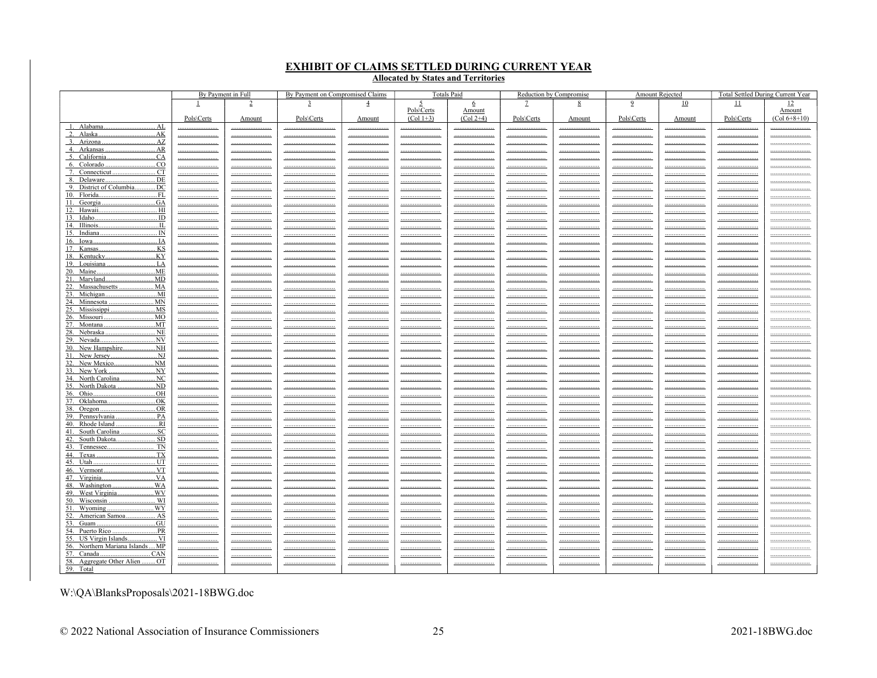# **EXHIBIT OF CLAIMS SETTLED DURING CURRENT YEAR<br>Allocated by States and Territories**

|                                                      | By Payment in Full |                    | By Payment on Compromised Claims   |                               | <b>Totals Paid</b> |                          | Reduction by Compromise       |                     | <b>Amount Rejected</b>             |                    |                               | Total Settled During Current Year |
|------------------------------------------------------|--------------------|--------------------|------------------------------------|-------------------------------|--------------------|--------------------------|-------------------------------|---------------------|------------------------------------|--------------------|-------------------------------|-----------------------------------|
|                                                      | $\perp$            | $\overline{2}$     | 3                                  | $\overline{4}$                | 5                  | $\overline{6}$           |                               | 8                   | $\overline{2}$                     | 10                 | 11                            | 12                                |
|                                                      |                    |                    |                                    |                               | Pols\Certs         | Amount<br>$(Col 2+4)$    |                               |                     |                                    |                    |                               | Amount                            |
|                                                      | Pols\Certs         | Amount             | Pols\Certs                         | Amount                        | $(Col 1+3)$        |                          | Pols\Certs                    | Amount              | Pols\Certs                         | Amount             | Pols\Certs                    | $(Col 6+8+10)$                    |
|                                                      |                    | <u></u><br>        | <br>                               | <u></u><br>                   | <br><u></u>        |                          | <br>                          | <br>                | <u> </u><br>                       | <br>               | <br>                          | <u></u>                           |
| 3. Arizona                                           |                    |                    |                                    |                               |                    |                          | <u></u>                       | <u></u>             |                                    |                    | <u></u>                       | <u></u>                           |
|                                                      |                    |                    |                                    |                               |                    |                          |                               |                     | __________________________         |                    |                               |                                   |
| CA                                                   |                    |                    | ______________________________     |                               |                    |                          |                               |                     |                                    |                    |                               |                                   |
| CO<br>CT                                             | <u></u>            | <u></u>            |                                    | <u></u>                       | <u></u>            | <u></u>                  | <u></u>                       | <u></u>             | <u>____________________</u>        |                    | <u></u>                       |                                   |
| . DE                                                 | <br><u></u>        | <br><u></u>        | <br><u></u>                        | <br><u></u>                   | <br>               | <br><u></u>              | <br>_______________________   | <br><u></u>         | <u> </u>                           | <br><u></u>        | <br><u></u>                   | <br><u></u>                       |
| 9. District of Columbia<br><u> DC</u>                | .                  |                    | <u></u>                            |                               |                    |                          | <u></u>                       |                     | <u>____________________</u>        |                    | <u></u>                       |                                   |
| 10. Florida<br><u>FL</u>                             |                    |                    |                                    |                               |                    |                          |                               |                     |                                    |                    |                               |                                   |
| .GA                                                  | <u></u>            |                    | <u></u>                            | <u></u>                       | <u></u>            | <u></u>                  | _______________________       | <u></u>             | _______________________            | <u></u>            | <u></u>                       |                                   |
|                                                      | <u></u> .          |                    |                                    |                               |                    |                          | <u></u>                       |                     |                                    |                    |                               |                                   |
| IL                                                   |                    |                    | <br>                               |                               |                    |                          |                               |                     |                                    |                    |                               |                                   |
|                                                      | <br><u></u> .      |                    |                                    |                               | <u></u>            | _______________________  | <br>                          |                     |                                    |                    | _________________________<br> | <br>                              |
|                                                      |                    | <u></u>            |                                    |                               |                    |                          |                               | <u></u>             |                                    |                    |                               |                                   |
| 17. Kansas<br>KS                                     |                    | <u></u>            |                                    | <u></u>                       |                    | ________________________ |                               |                     |                                    |                    |                               |                                   |
| .KY<br>18. Kentucky<br>                              | <u></u>            | <u></u>            | <u></u>                            | <u></u>                       | <u></u>            |                          | <u> </u>                      | <u></u>             | <u>______________________</u>      | <u></u>            |                               | <u></u>                           |
| 20. Maine<br>ME<br>.                                 |                    |                    |                                    |                               |                    |                          |                               |                     |                                    |                    |                               |                                   |
| 21. Maryland.<br>MD<br>.                             | <u></u><br>        | <br><u></u>        | <br><u></u>                        | <u></u><br><u></u>            | <u></u><br><u></u> | <u></u><br><u></u>       | <br><u> </u>                  | <u> </u><br><u></u> | _______________________<br><u></u> | <u></u><br><u></u> | <u></u><br><u></u>            | <u></u><br>                       |
|                                                      |                    |                    |                                    |                               |                    |                          |                               |                     |                                    |                    |                               |                                   |
| 23. Michigan.                                        | <u></u>            |                    |                                    | <u> ---------------------</u> |                    | <u></u>                  |                               | <u></u>             | <u></u>                            | <u></u>            | <u></u>                       | <u></u>                           |
|                                                      |                    |                    |                                    |                               |                    |                          |                               |                     |                                    |                    |                               |                                   |
| 26. Missouri.<br>. MO                                |                    |                    |                                    |                               | <u></u>            |                          |                               |                     |                                    |                    |                               |                                   |
| 27. Montana                                          | <u></u><br>        |                    | <br>                               | <u> ---------------------</u> | <br>               | <u></u>                  |                               | <u></u><br>         | _______________________            | <br>               | <u></u>                       | <br>                              |
| 28. Nebraska<br><u>. NE</u>                          | <u></u>            | <u></u>            |                                    | <u></u>                       | <u></u>            | <u></u>                  |                               | <u></u>             | <u></u>                            | <u></u>            | <u></u>                       | <u></u>                           |
| NV<br>29. Nevada.                                    |                    | <u></u>            |                                    | <u></u>                       | <u></u>            |                          | <u> </u>                      | <u></u>             | <u>______________________</u>      |                    | <u></u>                       |                                   |
| 30. New Hampshire<br>.NH                             | <u></u>            | <u></u>            | <u></u>                            | <u></u>                       |                    | <u></u>                  | <u> </u>                      | <u></u>             | <u></u>                            |                    | <u></u>                       | <u></u>                           |
| 31. New Jersey<br><u> NJ</u><br>32. New Mexico<br>NM | <u></u>            | <u></u>            | <u></u>                            | <u></u>                       | <u></u>            | <u></u>                  | <u></u>                       | <u></u>             | <u>_____________________</u>       |                    | <u></u>                       | <u></u>                           |
| 33. New York<br>.NY                                  | <br><u></u>        | <br><u></u>        | <br>                               | <u></u>                       | <br><u></u>        | <br><u></u>              | <br><u></u>                   | <br><u></u>         | <br><u></u>                        | <br><u></u>        | <br><u> </u>                  | <br>                              |
| 34. North Carolina<br>NC                             |                    | <u></u>            |                                    |                               |                    |                          | _______________________       | <u></u>             | _______________________            | <u></u>            |                               |                                   |
| 35. North Dakota ND                                  |                    |                    |                                    |                               |                    |                          |                               |                     |                                    |                    |                               |                                   |
| 36. Ohio.<br>HO.                                     |                    | <u></u>            |                                    |                               | <u></u>            | <u></u>                  | <u> </u>                      | <u></u>             | <u></u>                            | <u></u>            |                               |                                   |
| 37. Oklahoma<br>.OK<br>38. Oregon<br>.OR             |                    |                    |                                    |                               |                    |                          |                               |                     |                                    |                    |                               |                                   |
| 39. Pennsylvania.<br>. PA                            | <u></u>            | <u></u>            | <u></u>                            | <u></u>                       | <u></u>            | <u></u>                  | <u>______________________</u> | <u></u>             | <u> </u>                           | <u></u>            | <u> </u>                      | <u></u><br>                       |
| 40. Rhode Island<br><u>RI</u>                        |                    |                    |                                    | <u></u>                       |                    | <u></u>                  | _______________________       | <u></u>             | _______________________            |                    | <u></u>                       | <u></u>                           |
| .5C<br>41. South Carolina                            | .                  |                    |                                    | <u></u>                       |                    |                          |                               |                     | <u></u>                            |                    |                               | <u></u>                           |
| 42. South Dakota<br>SD                               |                    |                    |                                    |                               |                    |                          |                               |                     |                                    |                    |                               | <u></u>                           |
| 43. Tennessee<br>TN                                  | <u></u>            | <u></u>            |                                    | <u></u>                       |                    |                          | <u> </u>                      |                     |                                    |                    | <u></u>                       |                                   |
| 45. Utah<br>UT                                       | <u></u>            |                    | ______________________________<br> |                               | <u></u>            |                          | <br>                          |                     |                                    |                    |                               |                                   |
| . VT<br>46. Vermont                                  | <u></u><br><u></u> | <u></u><br><u></u> |                                    | <u></u><br>                   | <u></u><br>        | <br>                     | <u> </u>                      |                     |                                    | <u></u><br>        | <u></u><br><u></u>            | <u></u><br>                       |
|                                                      | <u></u>            |                    | ______________________________     |                               | <u></u>            |                          |                               |                     |                                    |                    |                               |                                   |
| .WA<br>48. Washington                                |                    | <u></u>            |                                    |                               |                    |                          |                               |                     |                                    |                    |                               | <u></u>                           |
| 49. West Virginia<br>WV.                             | <u></u>            | <u></u>            |                                    | <u></u>                       |                    |                          | <u> </u>                      | <u></u>             |                                    |                    | <u></u>                       |                                   |
| . WI<br>51. Wyoming<br>. WY                          | <u></u>            |                    | <u></u>                            | <u></u>                       | <u></u>            | <u></u>                  | _______________________       | <u></u>             | <u></u>                            | <u></u>            | <u></u>                       | <u></u>                           |
| 52. American Samoa AS                                |                    |                    |                                    |                               |                    |                          |                               |                     |                                    |                    |                               | <u></u><br>                       |
|                                                      | <u></u>            | <u></u>            |                                    | <u></u>                       | <u></u>            | <u></u>                  | <u></u>                       |                     | <u>_____________________</u>       | <u></u>            | <u></u>                       | <u></u>                           |
|                                                      |                    | <u></u>            |                                    | <u></u>                       |                    |                          |                               |                     | _______________________            |                    |                               |                                   |
| 55. US Virgin Islands VI                             |                    |                    |                                    |                               |                    |                          |                               |                     |                                    |                    |                               |                                   |
| 56. Northern Mariana IslandsMP<br>57. Canada<br>CAN. | <u></u>            | <u></u>            | <u></u>                            | <u></u>                       | <u></u>            | <u></u>                  | <u>_____________________</u>  | <u></u>             | <u></u>                            | <u></u>            | <u></u>                       | <u></u>                           |
| 58. Aggregate Other Alien  OT                        | <u></u><br>        | <br>               | <br>                               | <br>                          | <br>               | <br>                     | <br><u></u>                   | <br><u></u>         | <br>                               | <br>               | <br><u></u>                   | <br><u></u>                       |
| 59. Total                                            |                    |                    |                                    |                               |                    |                          |                               |                     |                                    |                    |                               |                                   |

W:\QA\BlanksProposals\2021-18BWG.doc

© 2022 National Association of Insurance Commissioners